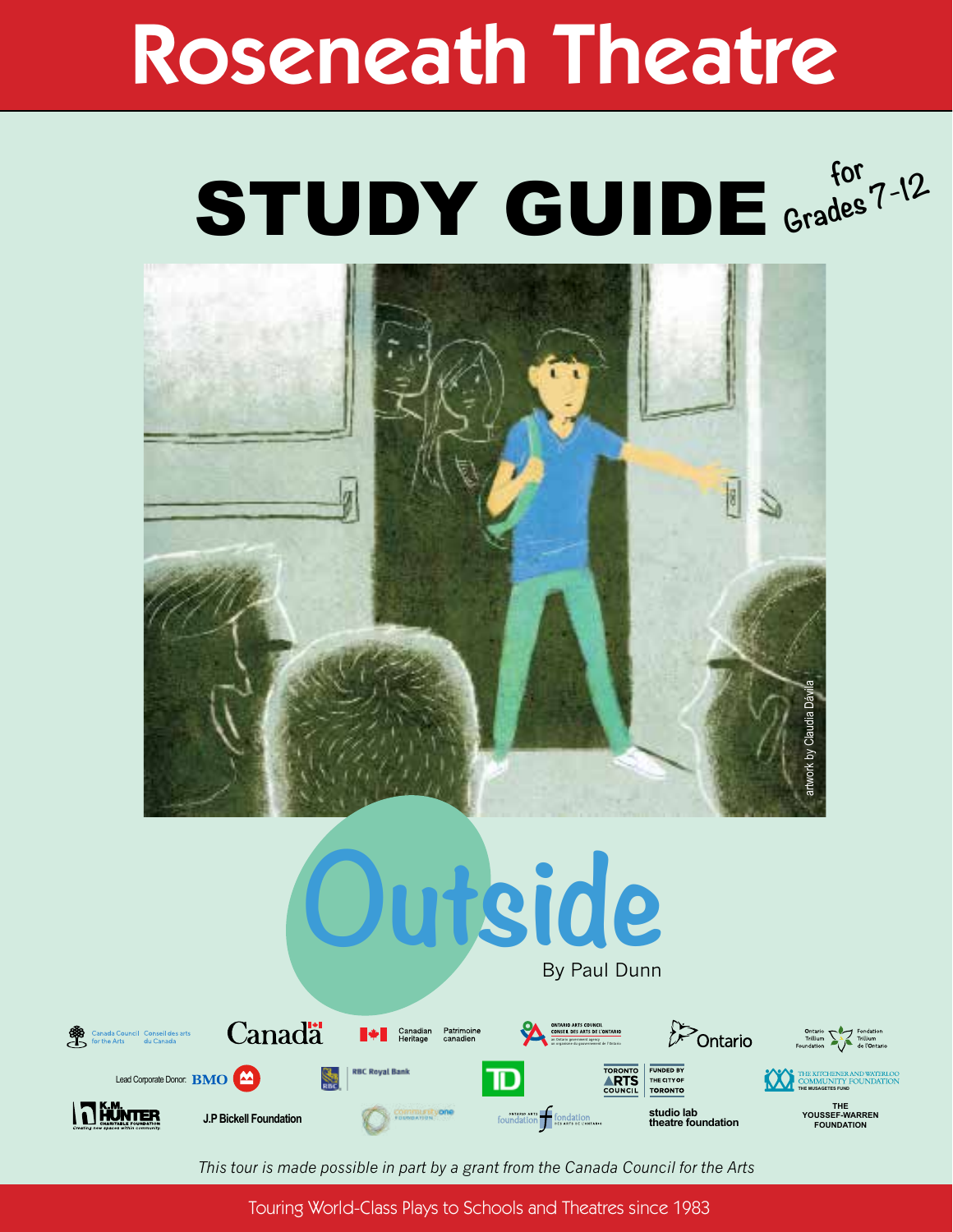# Roseneath Theatre

## STUDY GUIDE **for Grades 7-12**





*This tour is made possible in part by a grant from the Canada Council for the Arts*

Touring World-Class Plays to Schools and Theatres since 1983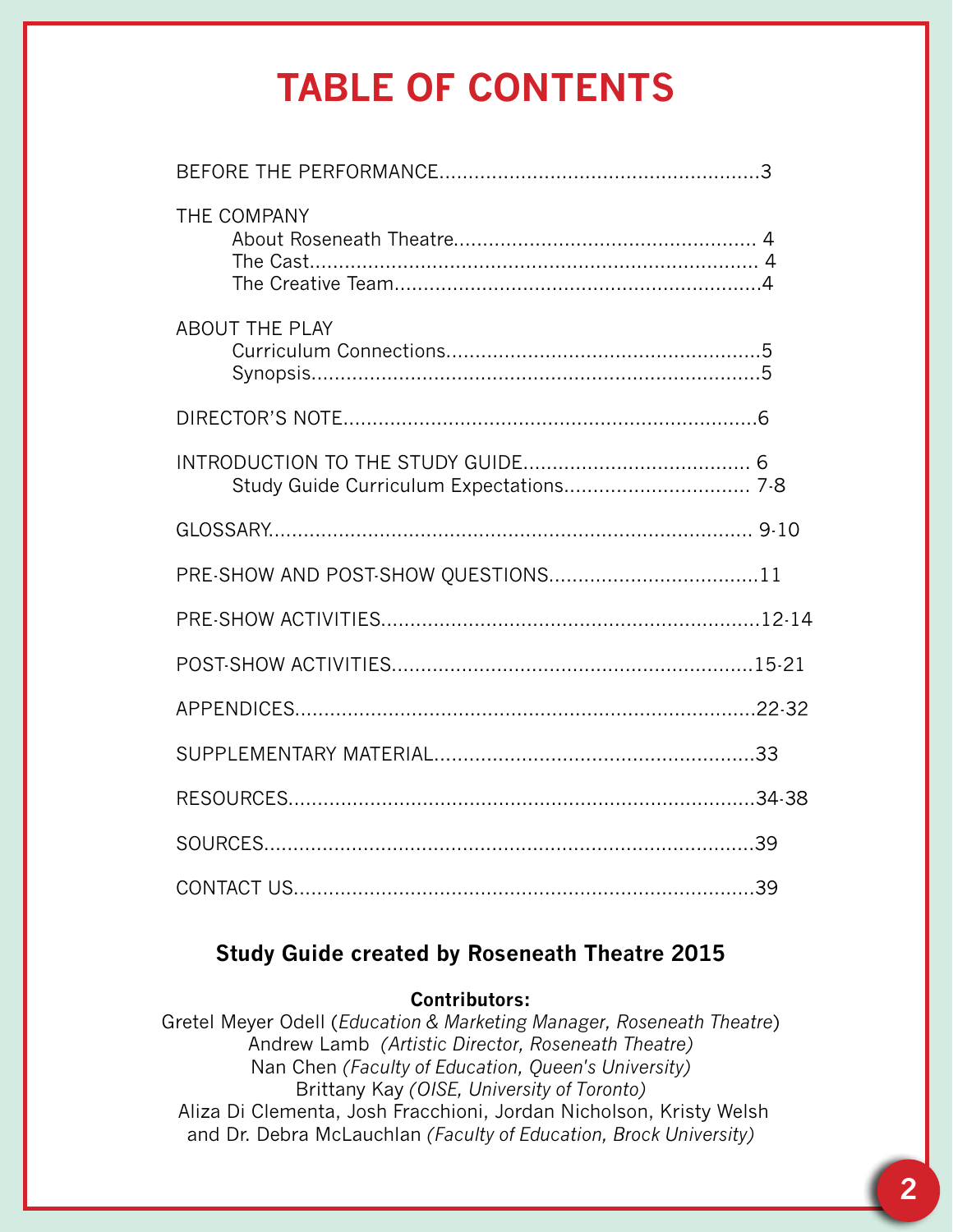## **TABLE OF CONTENTS**

| THE COMPANY    |  |
|----------------|--|
| ABOUT THE PLAY |  |
|                |  |
|                |  |
|                |  |
|                |  |
|                |  |
|                |  |
|                |  |
|                |  |
|                |  |
|                |  |
|                |  |

### **Study Guide created by Roseneath Theatre 2015**

#### **Contributors:**

Gretel Meyer Odell (*Education & Marketing Manager, Roseneath Theatre*) Andrew Lamb *(Artistic Director, Roseneath Theatre)* Nan Chen *(Faculty of Education, Queen's University)* Brittany Kay *(OISE, University of Toronto)* Aliza Di Clementa, Josh Fracchioni, Jordan Nicholson, Kristy Welsh and Dr. Debra McLauchlan *(Faculty of Education, Brock University)*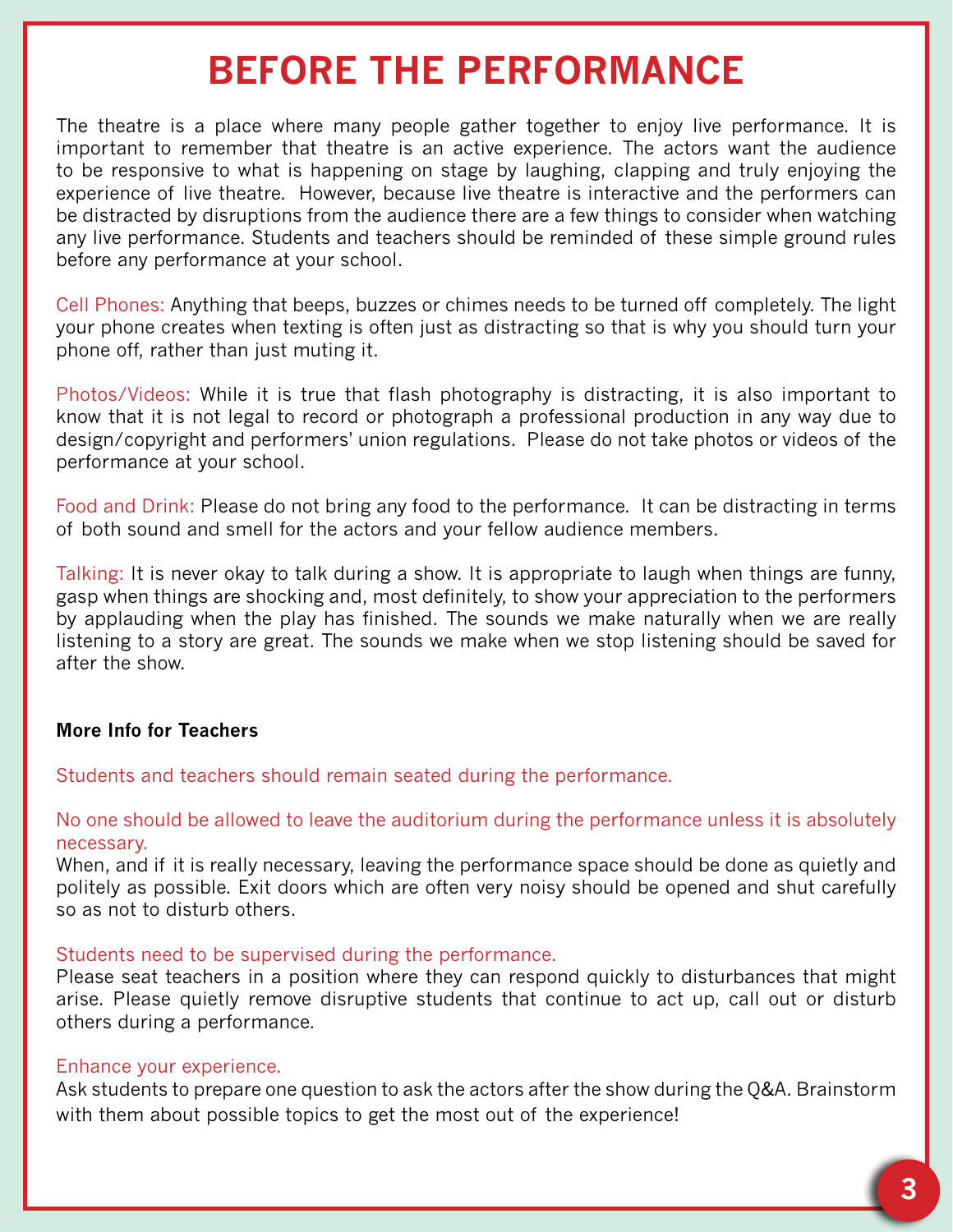## **BEFORE THE PERFORMANCE**

The theatre is a place where many people gather together to enjoy live performance. It is important to remember that theatre is an active experience. The actors want the audience to be responsive to what is happening on stage by laughing, clapping and truly enjoying the experience of live theatre. However, because live theatre is interactive and the performers can be distracted by disruptions from the audience there are a few things to consider when watching any live performance. Students and teachers should be reminded of these simple ground rules before any performance at your school.

Cell Phones: Anything that beeps, buzzes or chimes needs to be turned off completely. The light your phone creates when texting is often just as distracting so that is why you should turn your phone off, rather than just muting it.

Photos/Videos: While it is true that flash photography is distracting, it is also important to know that it is not legal to record or photograph a professional production in any way due to design/copyright and performers' union regulations. Please do not take photos or videos of the performance at your school.

Food and Drink: Please do not bring any food to the performance. It can be distracting in terms of both sound and smell for the actors and your fellow audience members.

Talking: It is never okay to talk during a show. It is appropriate to laugh when things are funny, gasp when things are shocking and, most definitely, to show your appreciation to the performers by applauding when the play has finished. The sounds we make naturally when we are really listening to a story are great. The sounds we make when we stop listening should be saved for after the show.

#### **More Info for Teachers**

Students and teachers should remain seated during the performance.

#### No one should be allowed to leave the auditorium during the performance unless it is absolutely necessary.

When, and if it is really necessary, leaving the performance space should be done as quietly and politely as possible. Exit doors which are often very noisy should be opened and shut carefully so as not to disturb others.

#### Students need to be supervised during the performance.

Please seat teachers in a position where they can respond quickly to disturbances that might arise. Please quietly remove disruptive students that continue to act up, call out or disturb others during a performance.

#### Enhance your experience.

Ask students to prepare one question to ask the actors after the show during the Q&A. Brainstorm with them about possible topics to get the most out of the experience!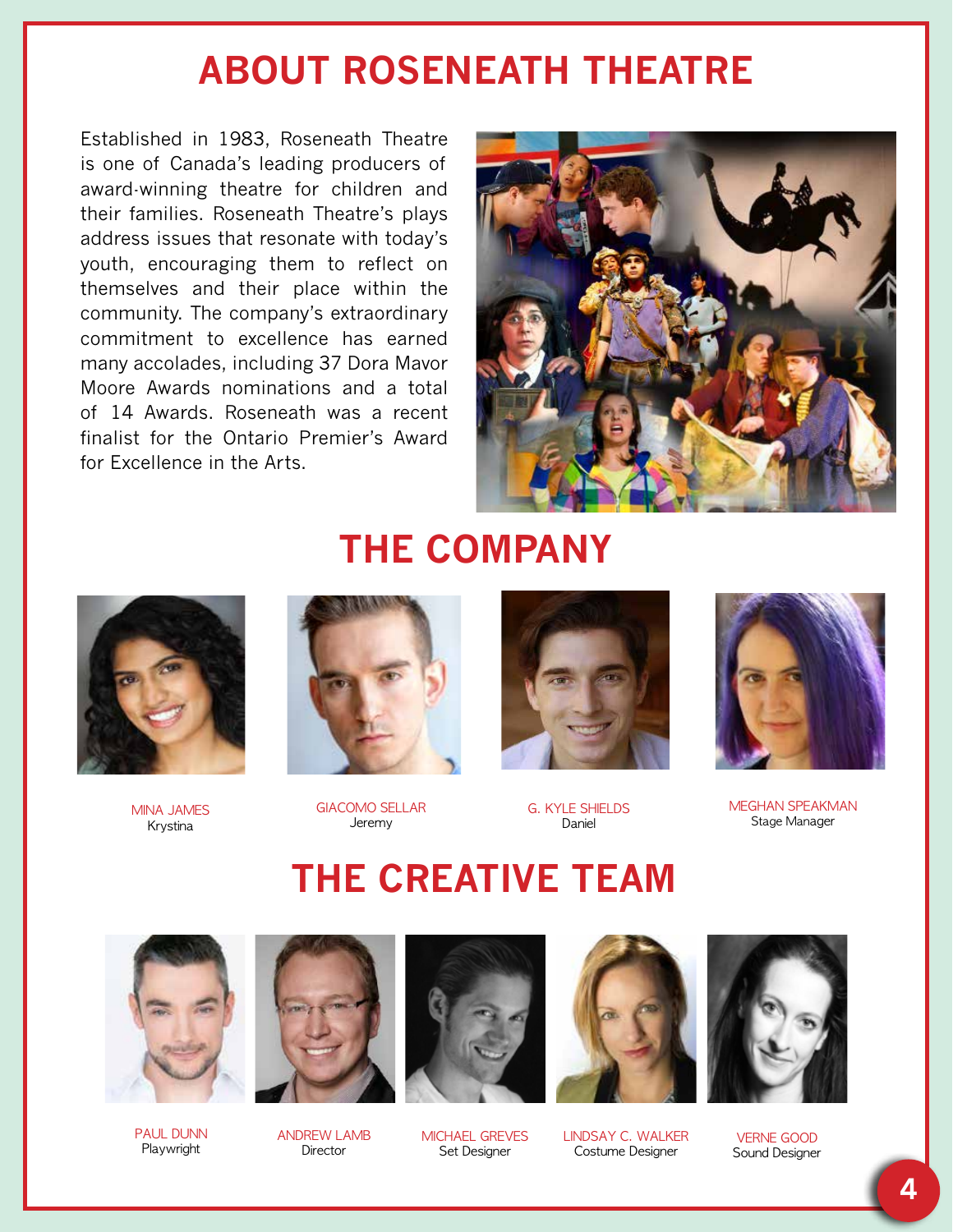## **ABOUT ROSENEATH THEATRE**

Established in 1983, Roseneath Theatre is one of Canada's leading producers of award-winning theatre for children and their families. Roseneath Theatre's plays address issues that resonate with today's youth, encouraging them to reflect on themselves and their place within the community. The company's extraordinary commitment to excellence has earned many accolades, including 37 Dora Mavor Moore Awards nominations and a total of 14 Awards. Roseneath was a recent finalist for the Ontario Premier's Award for Excellence in the Arts.





MINA JAMES Krystina



GIACOMO SELLAR Jeremy



G. KYLE SHIELDS Daniel



MEGHAN SPEAKMAN Stage Manager

### **THE CREATIVE TEAM**



PAUL DUNN Playwright



ANDREW LAMB **Director** 







LINDSAY C. WALKER Costume Designer



VERNE GOOD Sound Designer

## **THE COMPANY**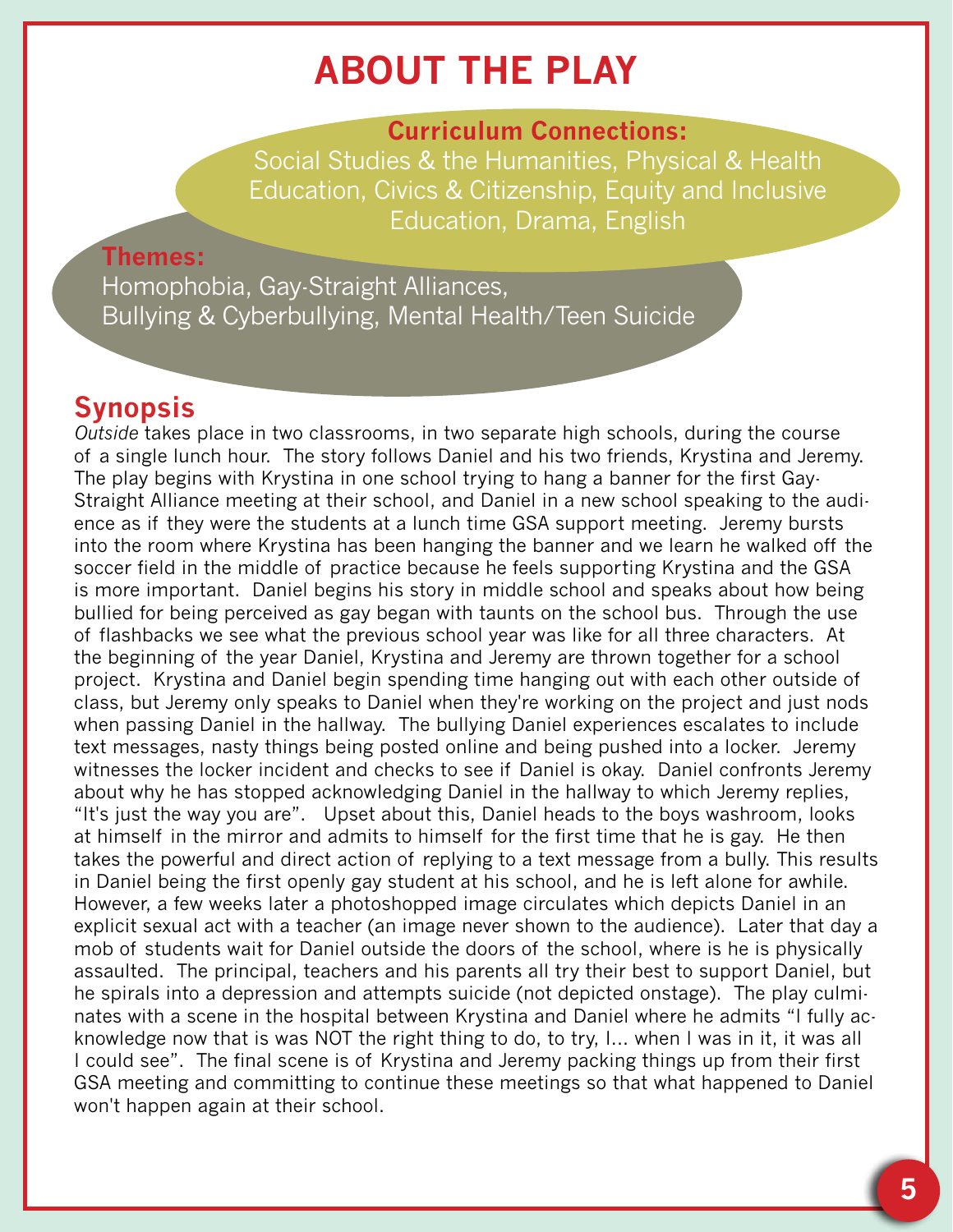## **ABOUT THE PLAY**

### **Curriculum Connections:**

Social Studies & the Humanities, Physical & Health Education, Civics & Citizenship, Equity and Inclusive Education, Drama, English

### **Themes:**

Homophobia, Gay-Straight Alliances, Bullying & Cyberbullying, Mental Health/Teen Suicide

### **Synopsis**

*Outside* takes place in two classrooms, in two separate high schools, during the course of a single lunch hour. The story follows Daniel and his two friends, Krystina and Jeremy. The play begins with Krystina in one school trying to hang a banner for the first Gay-Straight Alliance meeting at their school, and Daniel in a new school speaking to the audience as if they were the students at a lunch time GSA support meeting. Jeremy bursts into the room where Krystina has been hanging the banner and we learn he walked off the soccer field in the middle of practice because he feels supporting Krystina and the GSA is more important. Daniel begins his story in middle school and speaks about how being bullied for being perceived as gay began with taunts on the school bus. Through the use of flashbacks we see what the previous school year was like for all three characters. At the beginning of the year Daniel, Krystina and Jeremy are thrown together for a school project. Krystina and Daniel begin spending time hanging out with each other outside of class, but Jeremy only speaks to Daniel when they're working on the project and just nods when passing Daniel in the hallway. The bullying Daniel experiences escalates to include text messages, nasty things being posted online and being pushed into a locker. Jeremy witnesses the locker incident and checks to see if Daniel is okay. Daniel confronts Jeremy about why he has stopped acknowledging Daniel in the hallway to which Jeremy replies, "It's just the way you are". Upset about this, Daniel heads to the boys washroom, looks at himself in the mirror and admits to himself for the first time that he is gay. He then takes the powerful and direct action of replying to a text message from a bully. This results in Daniel being the first openly gay student at his school, and he is left alone for awhile. However, a few weeks later a photoshopped image circulates which depicts Daniel in an explicit sexual act with a teacher (an image never shown to the audience). Later that day a mob of students wait for Daniel outside the doors of the school, where is he is physically assaulted. The principal, teachers and his parents all try their best to support Daniel, but he spirals into a depression and attempts suicide (not depicted onstage). The play culminates with a scene in the hospital between Krystina and Daniel where he admits "I fully acknowledge now that is was NOT the right thing to do, to try, I... when I was in it, it was all I could see". The final scene is of Krystina and Jeremy packing things up from their first GSA meeting and committing to continue these meetings so that what happened to Daniel won't happen again at their school.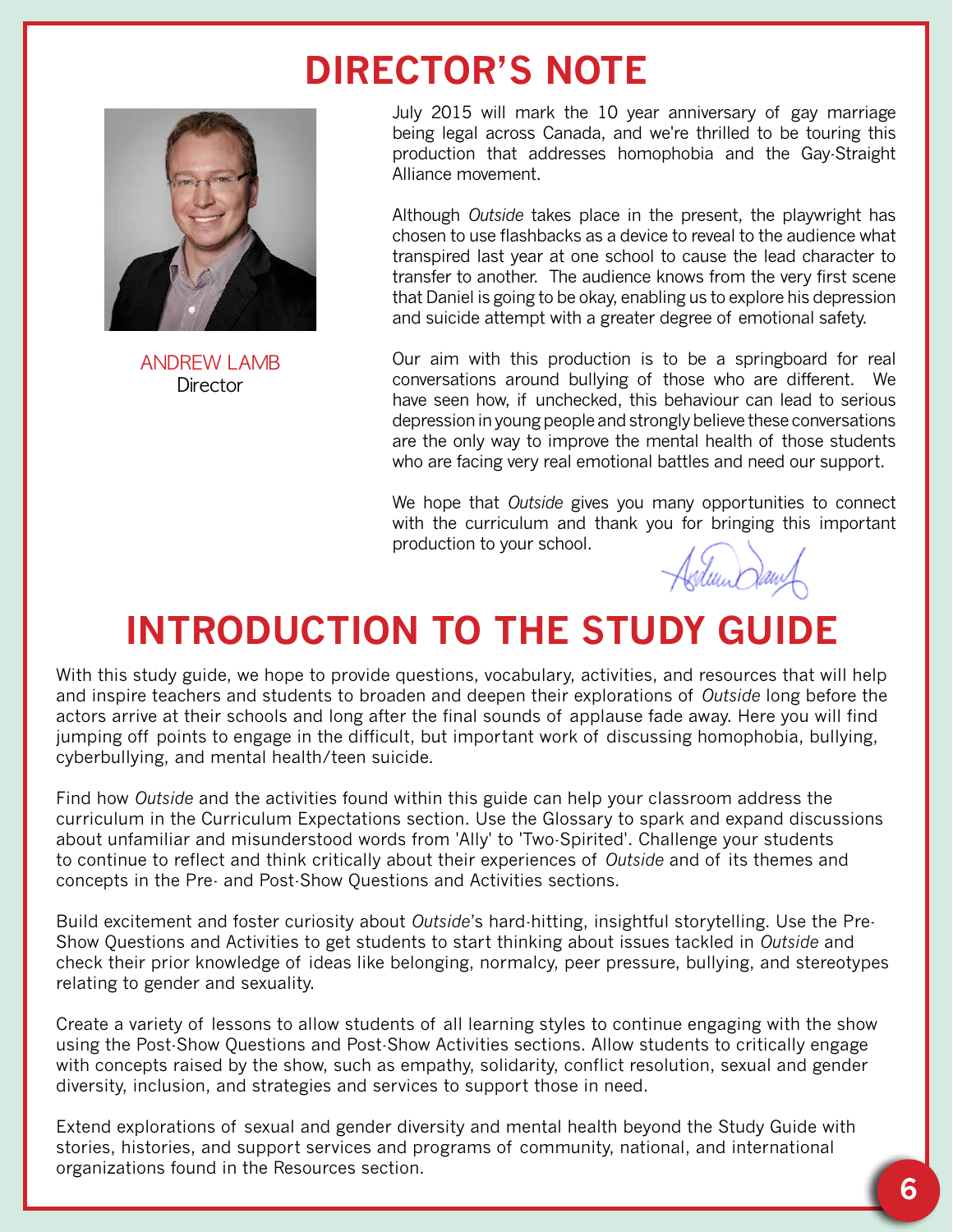### **DIRECTOR'S NOTE**



ANDREW LAMB **Director** 

July 2015 will mark the 10 year anniversary of gay marriage being legal across Canada, and we're thrilled to be touring this production that addresses homophobia and the Gay-Straight Alliance movement.

Although *Outside* takes place in the present, the playwright has chosen to use flashbacks as a device to reveal to the audience what transpired last year at one school to cause the lead character to transfer to another. The audience knows from the very first scene that Daniel is going to be okay, enabling us to explore his depression and suicide attempt with a greater degree of emotional safety.

Our aim with this production is to be a springboard for real conversations around bullying of those who are different. We have seen how, if unchecked, this behaviour can lead to serious depression in young people and strongly believe these conversations are the only way to improve the mental health of those students who are facing very real emotional battles and need our support.

We hope that *Outside* gives you many opportunities to connect with the curriculum and thank you for bringing this important production to your school.

## **INTRODUCTION TO THE STUDY GUIDE**

With this study guide, we hope to provide questions, vocabulary, activities, and resources that will help and inspire teachers and students to broaden and deepen their explorations of *Outside* long before the actors arrive at their schools and long after the final sounds of applause fade away. Here you will find jumping off points to engage in the difficult, but important work of discussing homophobia, bullying, cyberbullying, and mental health/teen suicide.

Find how *Outside* and the activities found within this guide can help your classroom address the curriculum in the Curriculum Expectations section. Use the Glossary to spark and expand discussions about unfamiliar and misunderstood words from 'Ally' to 'Two-Spirited'. Challenge your students to continue to reflect and think critically about their experiences of *Outside* and of its themes and concepts in the Pre- and Post-Show Questions and Activities sections.

Build excitement and foster curiosity about *Outside*'s hard-hitting, insightful storytelling. Use the Pre-Show Questions and Activities to get students to start thinking about issues tackled in *Outside* and check their prior knowledge of ideas like belonging, normalcy, peer pressure, bullying, and stereotypes relating to gender and sexuality.

Create a variety of lessons to allow students of all learning styles to continue engaging with the show using the Post-Show Questions and Post-Show Activities sections. Allow students to critically engage with concepts raised by the show, such as empathy, solidarity, conflict resolution, sexual and gender diversity, inclusion, and strategies and services to support those in need.

Extend explorations of sexual and gender diversity and mental health beyond the Study Guide with stories, histories, and support services and programs of community, national, and international organizations found in the Resources section.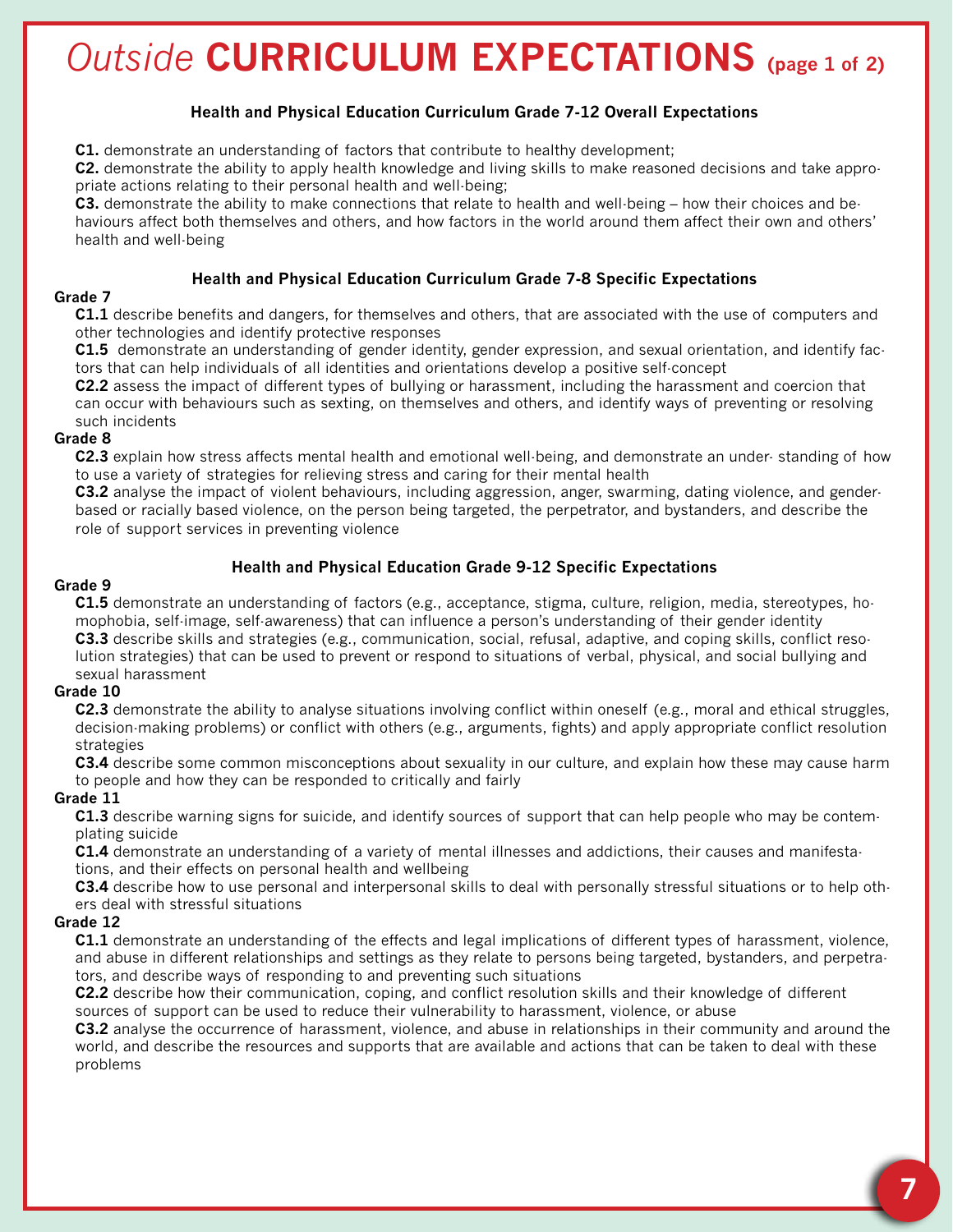## *Outside* **CURRICULUM EXPECTATIONS (page 1 of 2)**

#### **Health and Physical Education Curriculum Grade 7-12 Overall Expectations**

**C1.** demonstrate an understanding of factors that contribute to healthy development;

**C2.** demonstrate the ability to apply health knowledge and living skills to make reasoned decisions and take appropriate actions relating to their personal health and well-being;

**C3.** demonstrate the ability to make connections that relate to health and well-being – how their choices and behaviours affect both themselves and others, and how factors in the world around them affect their own and others' health and well-being

#### **Health and Physical Education Curriculum Grade 7-8 Specific Expectations**

#### **Grade 7**

**C1.1** describe benefits and dangers, for themselves and others, that are associated with the use of computers and other technologies and identify protective responses

**C1.5** demonstrate an understanding of gender identity, gender expression, and sexual orientation, and identify factors that can help individuals of all identities and orientations develop a positive self-concept

**C2.2** assess the impact of different types of bullying or harassment, including the harassment and coercion that can occur with behaviours such as sexting, on themselves and others, and identify ways of preventing or resolving such incidents

#### **Grade 8**

**C2.3** explain how stress affects mental health and emotional well-being, and demonstrate an under- standing of how to use a variety of strategies for relieving stress and caring for their mental health

**C3.2** analyse the impact of violent behaviours, including aggression, anger, swarming, dating violence, and genderbased or racially based violence, on the person being targeted, the perpetrator, and bystanders, and describe the role of support services in preventing violence

#### **Health and Physical Education Grade 9-12 Specific Expectations**

#### **Grade 9**

**C1.5** demonstrate an understanding of factors (e.g., acceptance, stigma, culture, religion, media, stereotypes, homophobia, self-image, self-awareness) that can influence a person's understanding of their gender identity **C3.3** describe skills and strategies (e.g., communication, social, refusal, adaptive, and coping skills, conflict resolution strategies) that can be used to prevent or respond to situations of verbal, physical, and social bullying and sexual harassment

#### **Grade 10**

**C2.3** demonstrate the ability to analyse situations involving conflict within oneself (e.g., moral and ethical struggles, decision-making problems) or conflict with others (e.g., arguments, fights) and apply appropriate conflict resolution strategies

**C3.4** describe some common misconceptions about sexuality in our culture, and explain how these may cause harm to people and how they can be responded to critically and fairly

#### **Grade 11**

**C1.3** describe warning signs for suicide, and identify sources of support that can help people who may be contemplating suicide

**C1.4** demonstrate an understanding of a variety of mental illnesses and addictions, their causes and manifestations, and their effects on personal health and wellbeing

**C3.4** describe how to use personal and interpersonal skills to deal with personally stressful situations or to help others deal with stressful situations

#### **Grade 12**

**C1.1** demonstrate an understanding of the effects and legal implications of different types of harassment, violence, and abuse in different relationships and settings as they relate to persons being targeted, bystanders, and perpetrators, and describe ways of responding to and preventing such situations

**C2.2** describe how their communication, coping, and conflict resolution skills and their knowledge of different sources of support can be used to reduce their vulnerability to harassment, violence, or abuse

**C3.2** analyse the occurrence of harassment, violence, and abuse in relationships in their community and around the world, and describe the resources and supports that are available and actions that can be taken to deal with these problems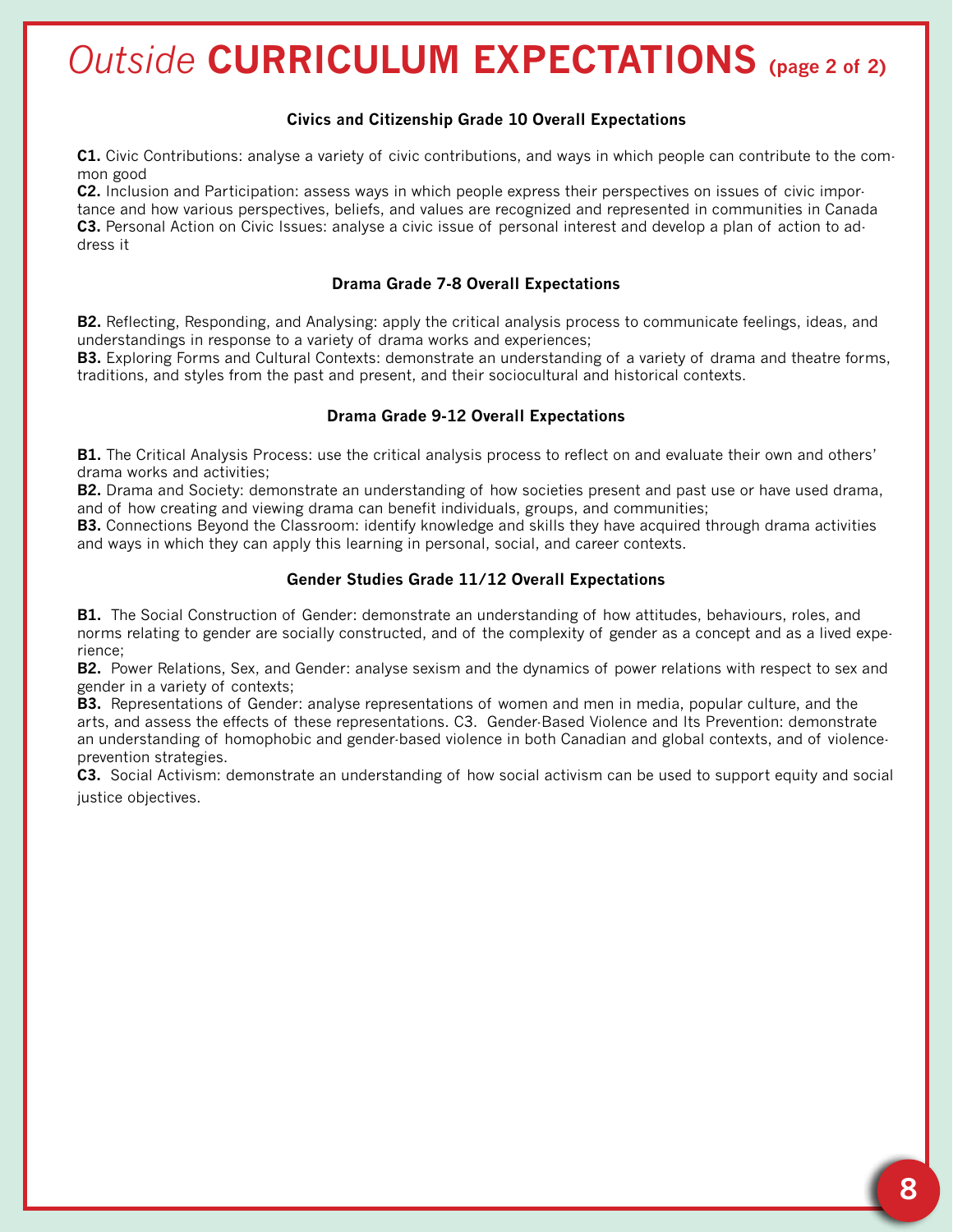## *Outside* **CURRICULUM EXPECTATIONS (page 2 of 2)**

#### **Civics and Citizenship Grade 10 Overall Expectations**

**C1.** Civic Contributions: analyse a variety of civic contributions, and ways in which people can contribute to the common good

**C2.** Inclusion and Participation: assess ways in which people express their perspectives on issues of civic importance and how various perspectives, beliefs, and values are recognized and represented in communities in Canada **C3.** Personal Action on Civic Issues: analyse a civic issue of personal interest and develop a plan of action to address it

#### **Drama Grade 7-8 Overall Expectations**

**B2.** Reflecting, Responding, and Analysing: apply the critical analysis process to communicate feelings, ideas, and understandings in response to a variety of drama works and experiences;

**B3.** Exploring Forms and Cultural Contexts: demonstrate an understanding of a variety of drama and theatre forms, traditions, and styles from the past and present, and their sociocultural and historical contexts.

#### **Drama Grade 9-12 Overall Expectations**

**B1.** The Critical Analysis Process: use the critical analysis process to reflect on and evaluate their own and others' drama works and activities;

**B2.** Drama and Society: demonstrate an understanding of how societies present and past use or have used drama, and of how creating and viewing drama can benefit individuals, groups, and communities;

**B3.** Connections Beyond the Classroom: identify knowledge and skills they have acquired through drama activities and ways in which they can apply this learning in personal, social, and career contexts.

#### **Gender Studies Grade 11/12 Overall Expectations**

**B1.** The Social Construction of Gender: demonstrate an understanding of how attitudes, behaviours, roles, and norms relating to gender are socially constructed, and of the complexity of gender as a concept and as a lived experience;

**B2.** Power Relations, Sex, and Gender: analyse sexism and the dynamics of power relations with respect to sex and gender in a variety of contexts;

**B3.** Representations of Gender: analyse representations of women and men in media, popular culture, and the arts, and assess the effects of these representations. C3. Gender-Based Violence and Its Prevention: demonstrate an understanding of homophobic and gender-based violence in both Canadian and global contexts, and of violenceprevention strategies.

**C3.** Social Activism: demonstrate an understanding of how social activism can be used to support equity and social justice objectives.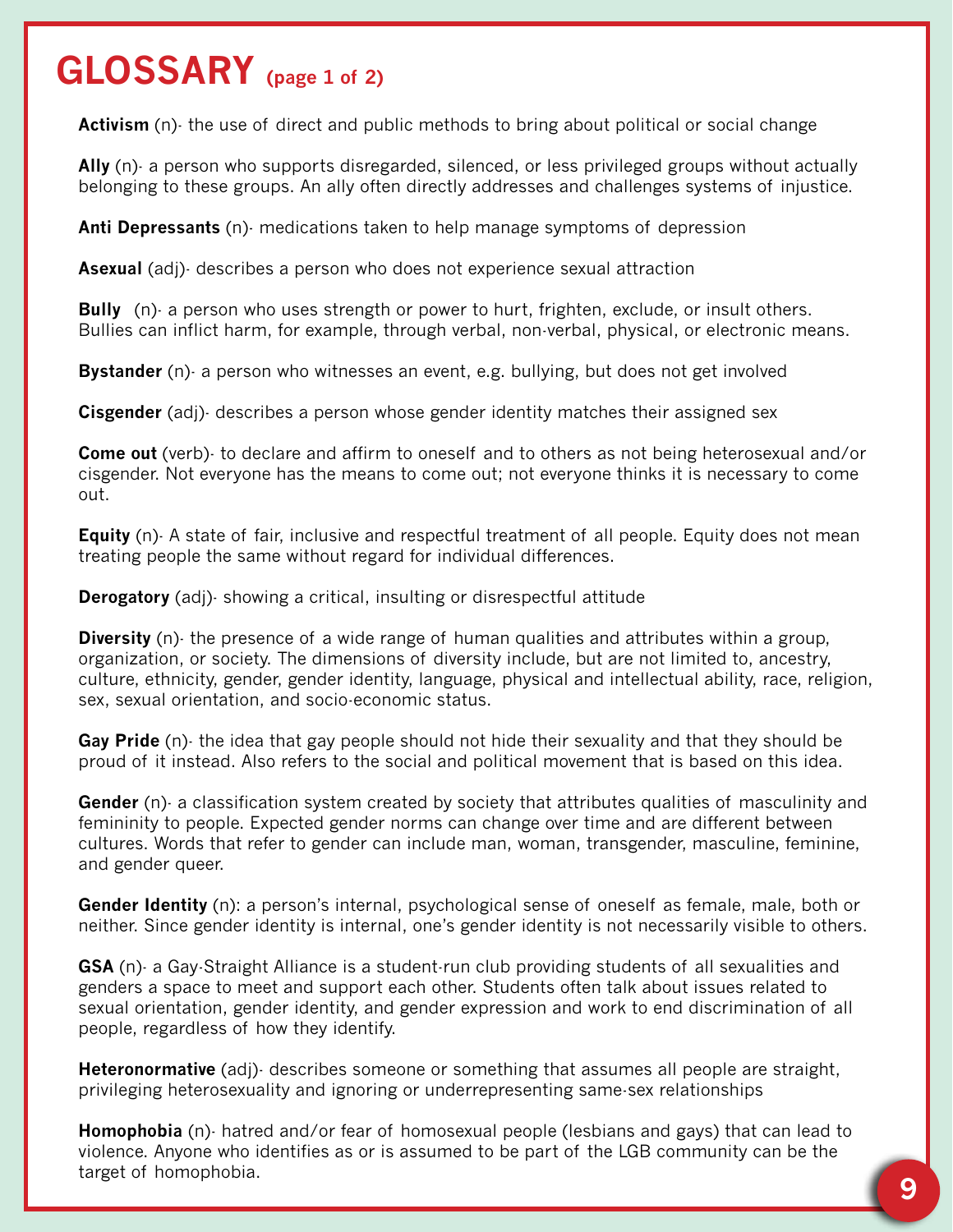### **GLOSSARY (page 1 of 2)**

Activism (n) the use of direct and public methods to bring about political or social change

**Ally** (n)- a person who supports disregarded, silenced, or less privileged groups without actually belonging to these groups. An ally often directly addresses and challenges systems of injustice.

**Anti Depressants** (n)- medications taken to help manage symptoms of depression

**Asexual** (adj)- describes a person who does not experience sexual attraction

**Bully** (n)- a person who uses strength or power to hurt, frighten, exclude, or insult others. Bullies can inflict harm, for example, through verbal, non-verbal, physical, or electronic means.

**Bystander** (n)- a person who witnesses an event, e.g. bullying, but does not get involved

**Cisgender** (adj)- describes a person whose gender identity matches their assigned sex

**Come out** (verb)- to declare and affirm to oneself and to others as not being heterosexual and/or cisgender. Not everyone has the means to come out; not everyone thinks it is necessary to come out.

**Equity** (n)- A state of fair, inclusive and respectful treatment of all people. Equity does not mean treating people the same without regard for individual differences.

**Derogatory** (adj)-showing a critical, insulting or disrespectful attitude

**Diversity** (n)- the presence of a wide range of human qualities and attributes within a group, organization, or society. The dimensions of diversity include, but are not limited to, ancestry, culture, ethnicity, gender, gender identity, language, physical and intellectual ability, race, religion, sex, sexual orientation, and socio-economic status.

**Gay Pride** (n)- the idea that gay people should not hide their sexuality and that they should be proud of it instead. Also refers to the social and political movement that is based on this idea.

**Gender** (n)- a classification system created by society that attributes qualities of masculinity and femininity to people. Expected gender norms can change over time and are different between cultures. Words that refer to gender can include man, woman, transgender, masculine, feminine, and gender queer.

**Gender Identity** (n): a person's internal, psychological sense of oneself as female, male, both or neither. Since gender identity is internal, one's gender identity is not necessarily visible to others.

**GSA** (n)- a Gay-Straight Alliance is a student-run club providing students of all sexualities and genders a space to meet and support each other. Students often talk about issues related to sexual orientation, gender identity, and gender expression and work to end discrimination of all people, regardless of how they identify.

**Heteronormative** (adj)- describes someone or something that assumes all people are straight, privileging heterosexuality and ignoring or underrepresenting same-sex relationships

**Homophobia** (n)- hatred and/or fear of homosexual people (lesbians and gays) that can lead to violence. Anyone who identifies as or is assumed to be part of the LGB community can be the target of homophobia.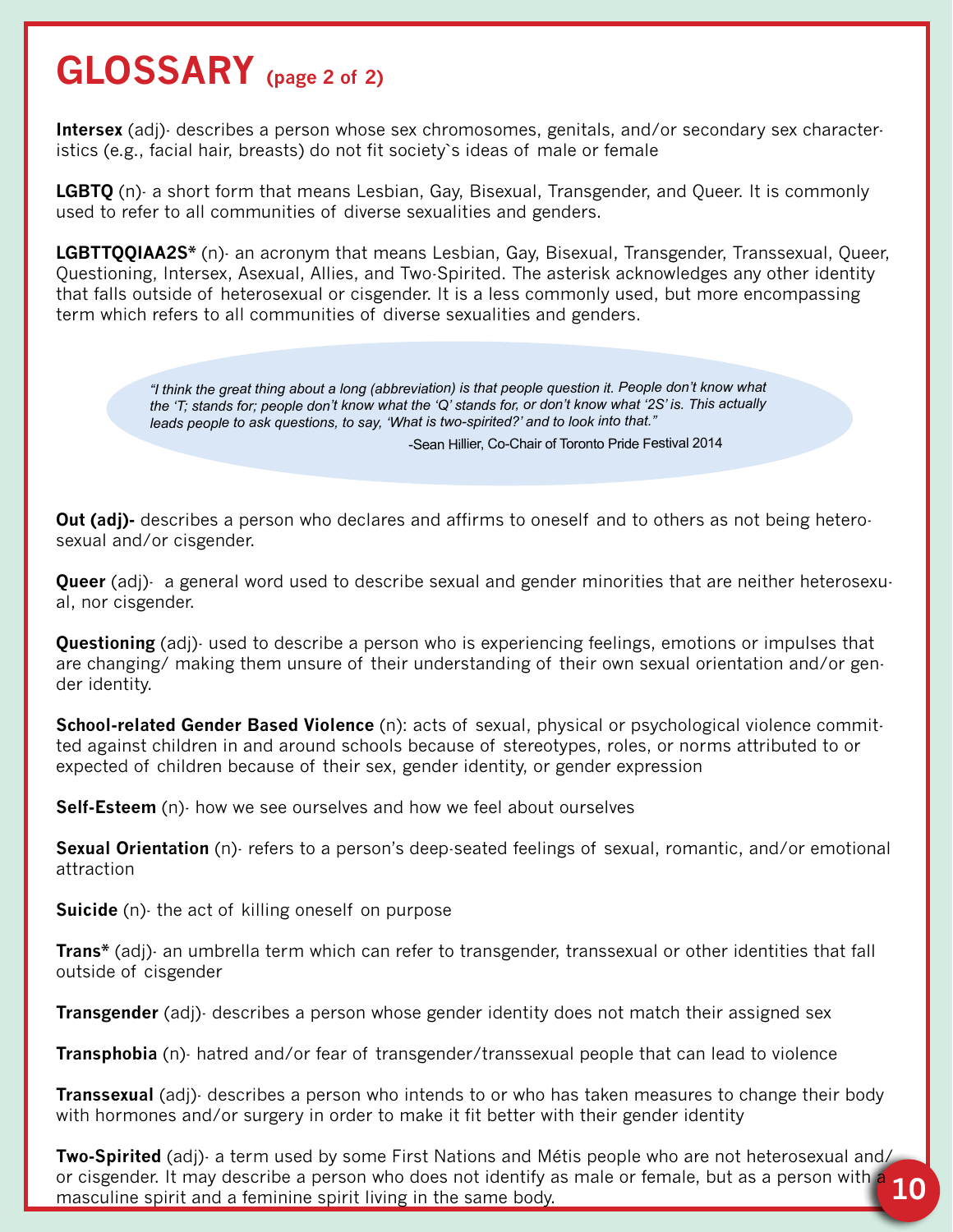## **GLOSSARY (page 2 of 2)**

**Intersex** (adj)- describes a person whose sex chromosomes, genitals, and/or secondary sex characteristics (e.g., facial hair, breasts) do not fit society`s ideas of male or female

**LGBTQ** (n)- a short form that means Lesbian, Gay, Bisexual, Transgender, and Queer. It is commonly used to refer to all communities of diverse sexualities and genders.

**LGBTTQQIAA2S\*** (n)- an acronym that means Lesbian, Gay, Bisexual, Transgender, Transsexual, Queer, Questioning, Intersex, Asexual, Allies, and Two-Spirited. The asterisk acknowledges any other identity that falls outside of heterosexual or cisgender. It is a less commonly used, but more encompassing term which refers to all communities of diverse sexualities and genders.

> *"I think the great thing about a long (abbreviation) is that people question it. People don't know what the 'T; stands for; people don't know what the 'Q' stands for, or don't know what '2S' is. This actually leads people to ask questions, to say, 'What is two-spirited?' and to look into that."*

> > -Sean Hillier, Co-Chair of Toronto Pride Festival 2014

**Out (adj)-** describes a person who declares and affirms to oneself and to others as not being heterosexual and/or cisgender.

**Queer** (adj)- a general word used to describe sexual and gender minorities that are neither heterosexual, nor cisgender.

**Questioning** (adj)- used to describe a person who is experiencing feelings, emotions or impulses that are changing/ making them unsure of their understanding of their own sexual orientation and/or gender identity.

**School-related Gender Based Violence** (n): acts of sexual, physical or psychological violence committed against children in and around schools because of stereotypes, roles, or norms attributed to or expected of children because of their sex, gender identity, or gender expression

**Self-Esteem** (n)- how we see ourselves and how we feel about ourselves

**Sexual Orientation** (n)- refers to a person's deep-seated feelings of sexual, romantic, and/or emotional attraction

**Suicide** (n) the act of killing oneself on purpose

**Trans\*** (adj)- an umbrella term which can refer to transgender, transsexual or other identities that fall outside of cisgender

**Transgender** (adj)- describes a person whose gender identity does not match their assigned sex

**Transphobia** (n)- hatred and/or fear of transgender/transsexual people that can lead to violence

**Transsexual** (adj)- describes a person who intends to or who has taken measures to change their body with hormones and/or surgery in order to make it fit better with their gender identity

**10 Two-Spirited** (adj)- a term used by some First Nations and Métis people who are not heterosexual and/ or cisgender. It may describe a person who does not identify as male or female, but as a person with a masculine spirit and a feminine spirit living in the same body.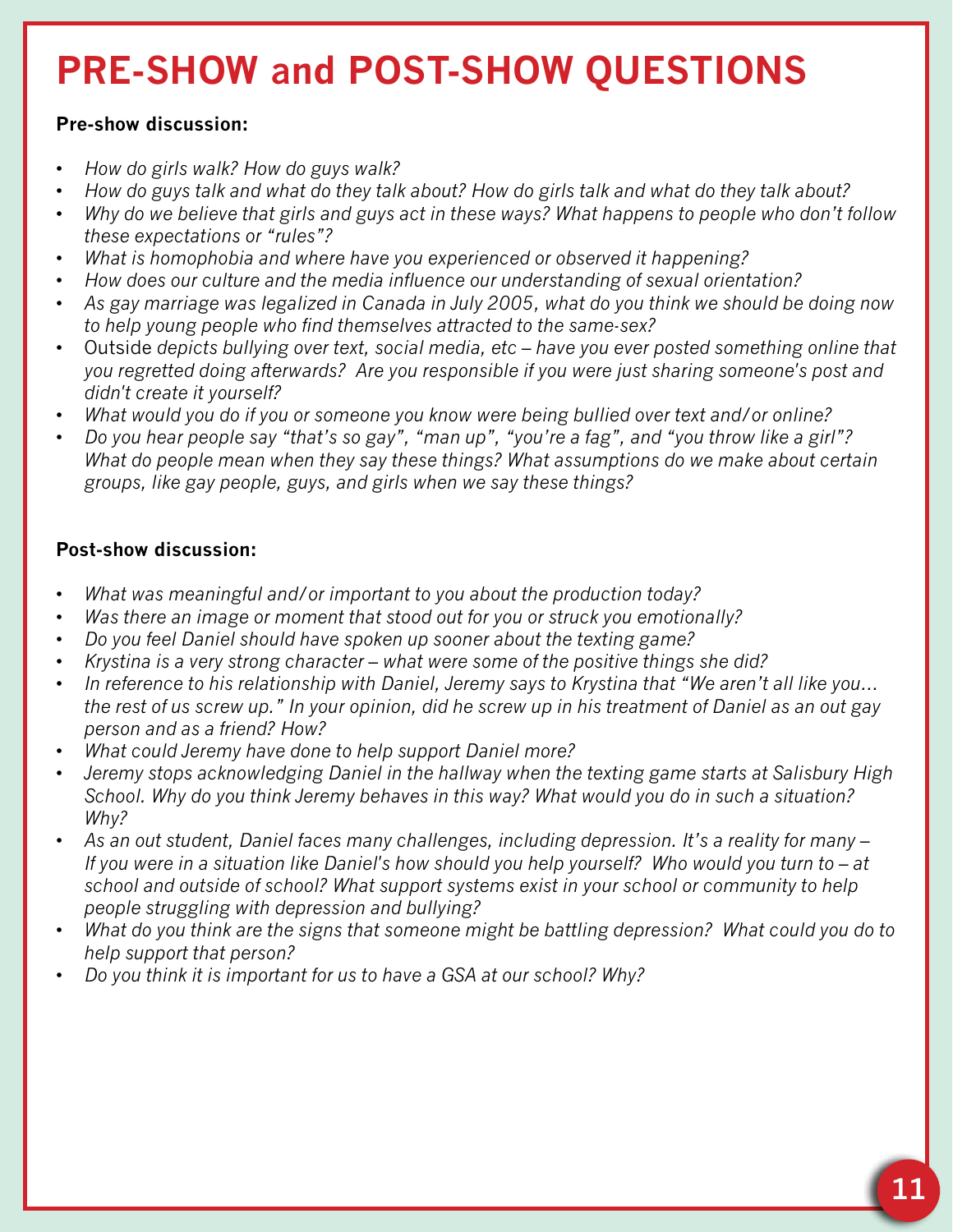## **PRE-SHOW and POST-SHOW QUESTIONS**

#### **Pre-show discussion:**

- *• How do girls walk? How do guys walk?*
- *• How do guys talk and what do they talk about? How do girls talk and what do they talk about?*
- *• Why do we believe that girls and guys act in these ways? What happens to people who don't follow these expectations or "rules"?*
- *• What is homophobia and where have you experienced or observed it happening?*
- *• How does our culture and the media influence our understanding of sexual orientation?*
- *• As gay marriage was legalized in Canada in July 2005, what do you think we should be doing now to help young people who find themselves attracted to the same-sex?*
- Outside *depicts bullying over text, social media, etc have you ever posted something online that you regretted doing afterwards? Are you responsible if you were just sharing someone's post and didn't create it yourself?*
- *• What would you do if you or someone you know were being bullied over text and/or online?*
- *• Do you hear people say "that's so gay", "man up", "you're a fag", and "you throw like a girl"? What do people mean when they say these things? What assumptions do we make about certain groups, like gay people, guys, and girls when we say these things?*

#### **Post-show discussion:**

- *• What was meaningful and/or important to you about the production today?*
- *• Was there an image or moment that stood out for you or struck you emotionally?*
- *• Do you feel Daniel should have spoken up sooner about the texting game?*
- *• Krystina is a very strong character what were some of the positive things she did?*
- *• In reference to his relationship with Daniel, Jeremy says to Krystina that "We aren't all like you… the rest of us screw up." In your opinion, did he screw up in his treatment of Daniel as an out gay person and as a friend? How?*
- *• What could Jeremy have done to help support Daniel more?*
- *• Jeremy stops acknowledging Daniel in the hallway when the texting game starts at Salisbury High School. Why do you think Jeremy behaves in this way? What would you do in such a situation? Why?*
- *• As an out student, Daniel faces many challenges, including depression. It's a reality for many If you were in a situation like Daniel's how should you help yourself? Who would you turn to – at school and outside of school? What support systems exist in your school or community to help people struggling with depression and bullying?*
- *• What do you think are the signs that someone might be battling depression? What could you do to help support that person?*
- *• Do you think it is important for us to have a GSA at our school? Why?*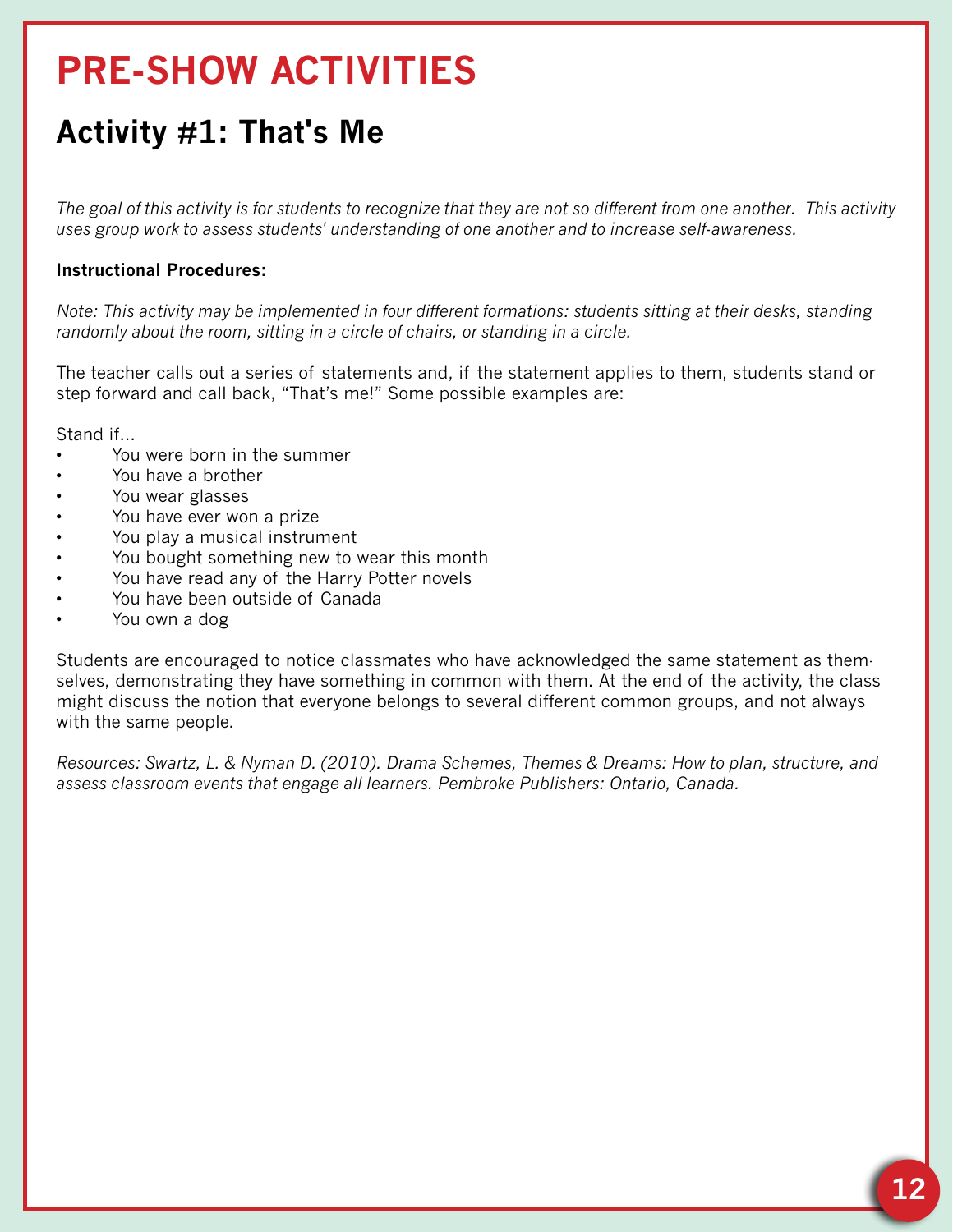## **PRE-SHOW ACTIVITIES**

### **Activity #1: That's Me**

*The goal of this activity is for students to recognize that they are not so different from one another. This activity uses group work to assess students' understanding of one another and to increase self-awareness.*

#### **Instructional Procedures:**

*Note: This activity may be implemented in four different formations: students sitting at their desks, standing randomly about the room, sitting in a circle of chairs, or standing in a circle.*

The teacher calls out a series of statements and, if the statement applies to them, students stand or step forward and call back, "That's me!" Some possible examples are:

Stand if…

- You were born in the summer
- You have a brother
- You wear glasses
- You have ever won a prize
- You play a musical instrument
- You bought something new to wear this month
- You have read any of the Harry Potter novels
- You have been outside of Canada
- You own a dog

Students are encouraged to notice classmates who have acknowledged the same statement as themselves, demonstrating they have something in common with them. At the end of the activity, the class might discuss the notion that everyone belongs to several different common groups, and not always with the same people.

*Resources: Swartz, L. & Nyman D. (2010). Drama Schemes, Themes & Dreams: How to plan, structure, and assess classroom events that engage all learners. Pembroke Publishers: Ontario, Canada.*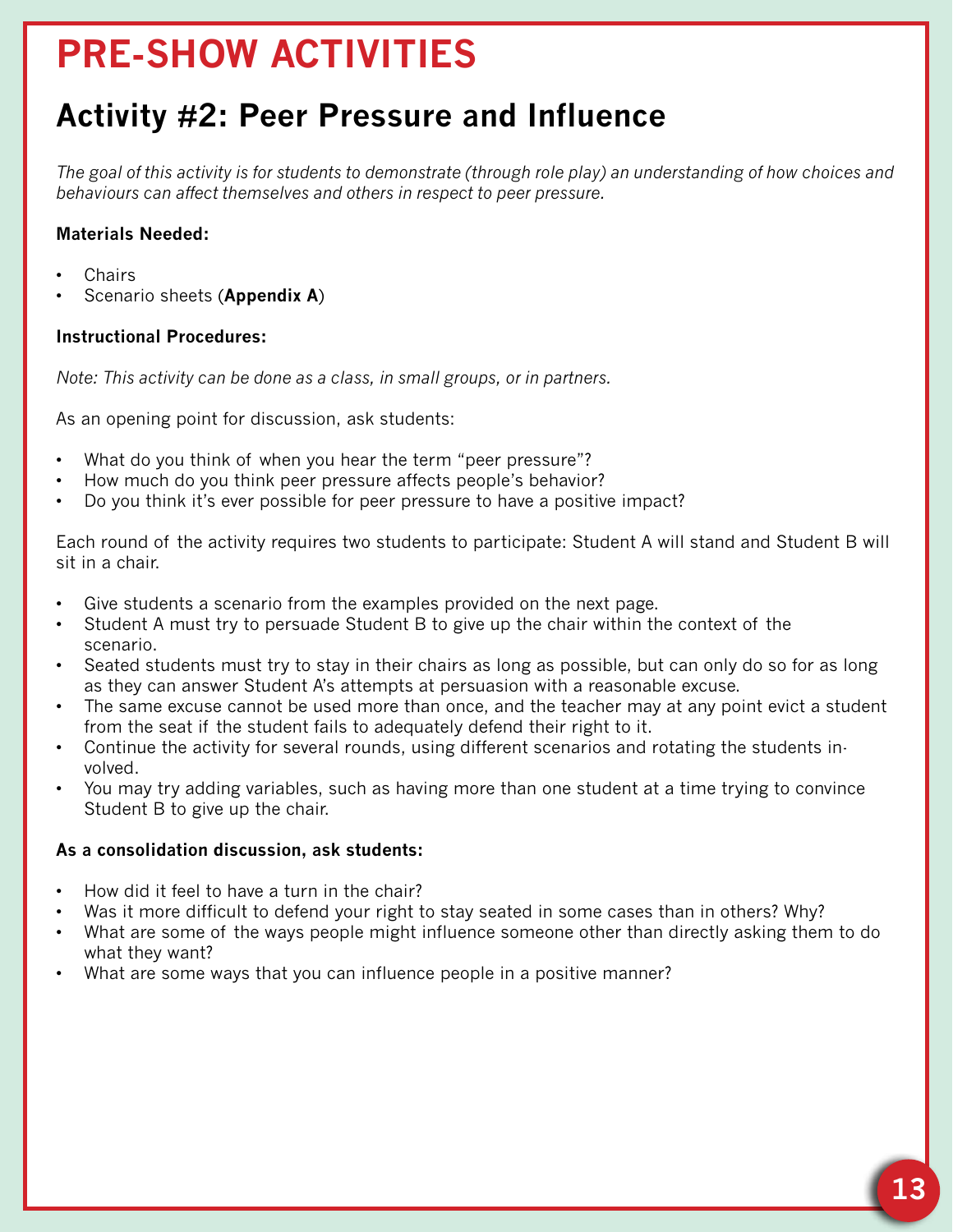## **PRE-SHOW ACTIVITIES**

### **Activity #2: Peer Pressure and Influence**

*The goal of this activity is for students to demonstrate (through role play) an understanding of how choices and behaviours can affect themselves and others in respect to peer pressure.*

#### **Materials Needed:**

- Chairs
- Scenario sheets (**Appendix A**)

#### **Instructional Procedures:**

*Note: This activity can be done as a class, in small groups, or in partners.*

As an opening point for discussion, ask students:

- What do you think of when you hear the term "peer pressure"?
- How much do you think peer pressure affects people's behavior?
- Do you think it's ever possible for peer pressure to have a positive impact?

Each round of the activity requires two students to participate: Student A will stand and Student B will sit in a chair.

- Give students a scenario from the examples provided on the next page.
- Student A must try to persuade Student B to give up the chair within the context of the scenario.
- Seated students must try to stay in their chairs as long as possible, but can only do so for as long as they can answer Student A's attempts at persuasion with a reasonable excuse.
- The same excuse cannot be used more than once, and the teacher may at any point evict a student from the seat if the student fails to adequately defend their right to it.
- Continue the activity for several rounds, using different scenarios and rotating the students involved.
- You may try adding variables, such as having more than one student at a time trying to convince Student B to give up the chair.

#### **As a consolidation discussion, ask students:**

- How did it feel to have a turn in the chair?
- Was it more difficult to defend your right to stay seated in some cases than in others? Why?
- What are some of the ways people might influence someone other than directly asking them to do what they want?
- What are some ways that you can influence people in a positive manner?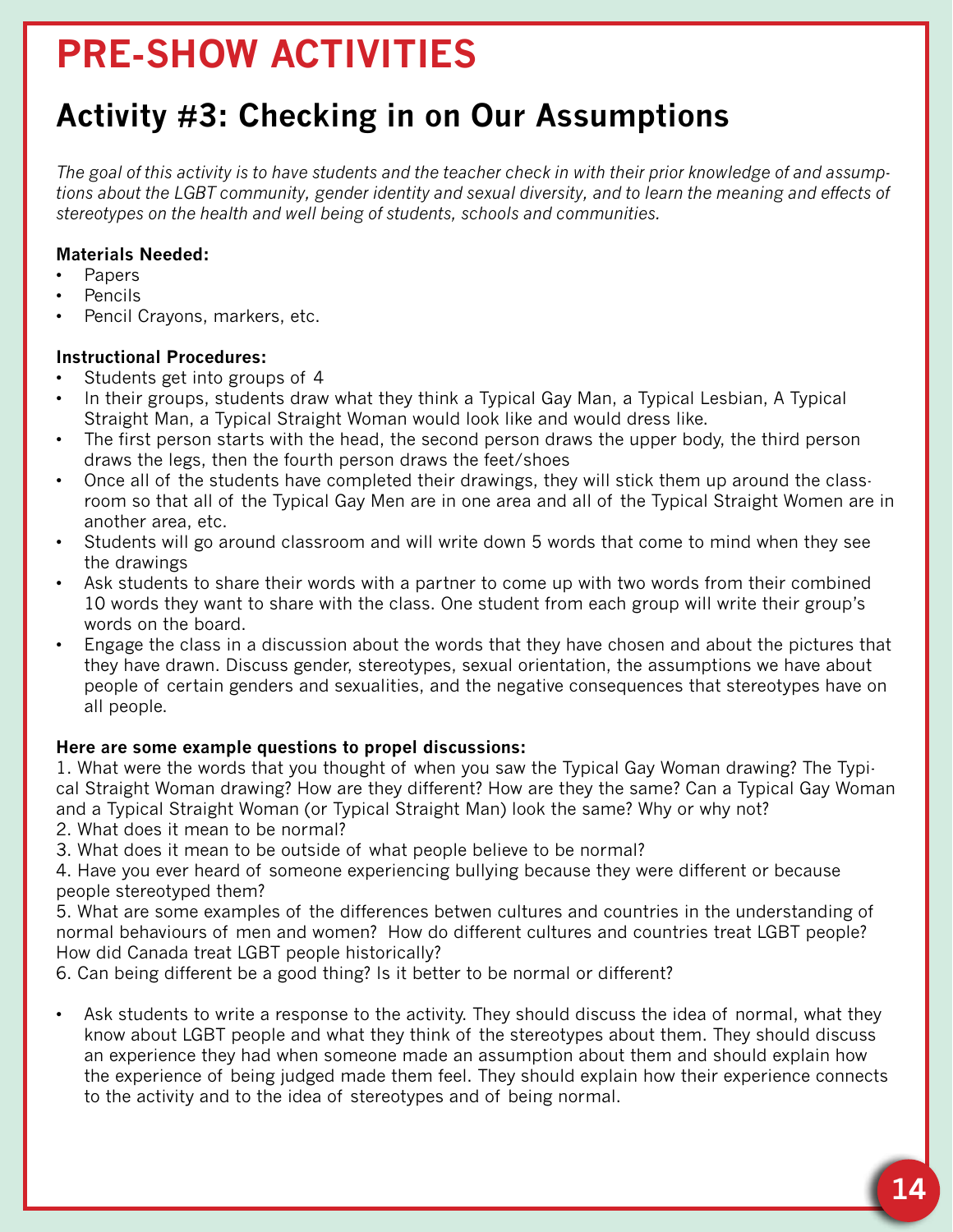## **PRE-SHOW ACTIVITIES**

### **Activity #3: Checking in on Our Assumptions**

*The goal of this activity is to have students and the teacher check in with their prior knowledge of and assumptions about the LGBT community, gender identity and sexual diversity, and to learn the meaning and effects of stereotypes on the health and well being of students, schools and communities.*

#### **Materials Needed:**

- Papers
- Pencils
- Pencil Crayons, markers, etc.

#### **Instructional Procedures:**

- Students get into groups of 4
- In their groups, students draw what they think a Typical Gay Man, a Typical Lesbian, A Typical Straight Man, a Typical Straight Woman would look like and would dress like.
- The first person starts with the head, the second person draws the upper body, the third person draws the legs, then the fourth person draws the feet/shoes
- Once all of the students have completed their drawings, they will stick them up around the classroom so that all of the Typical Gay Men are in one area and all of the Typical Straight Women are in another area, etc.
- Students will go around classroom and will write down 5 words that come to mind when they see the drawings
- Ask students to share their words with a partner to come up with two words from their combined 10 words they want to share with the class. One student from each group will write their group's words on the board.
- Engage the class in a discussion about the words that they have chosen and about the pictures that they have drawn. Discuss gender, stereotypes, sexual orientation, the assumptions we have about people of certain genders and sexualities, and the negative consequences that stereotypes have on all people.

#### **Here are some example questions to propel discussions:**

1. What were the words that you thought of when you saw the Typical Gay Woman drawing? The Typical Straight Woman drawing? How are they different? How are they the same? Can a Typical Gay Woman and a Typical Straight Woman (or Typical Straight Man) look the same? Why or why not?

2. What does it mean to be normal?

3. What does it mean to be outside of what people believe to be normal?

4. Have you ever heard of someone experiencing bullying because they were different or because people stereotyped them?

5. What are some examples of the differences betwen cultures and countries in the understanding of normal behaviours of men and women? How do different cultures and countries treat LGBT people? How did Canada treat LGBT people historically?

6. Can being different be a good thing? Is it better to be normal or different?

Ask students to write a response to the activity. They should discuss the idea of normal, what they know about LGBT people and what they think of the stereotypes about them. They should discuss an experience they had when someone made an assumption about them and should explain how the experience of being judged made them feel. They should explain how their experience connects to the activity and to the idea of stereotypes and of being normal.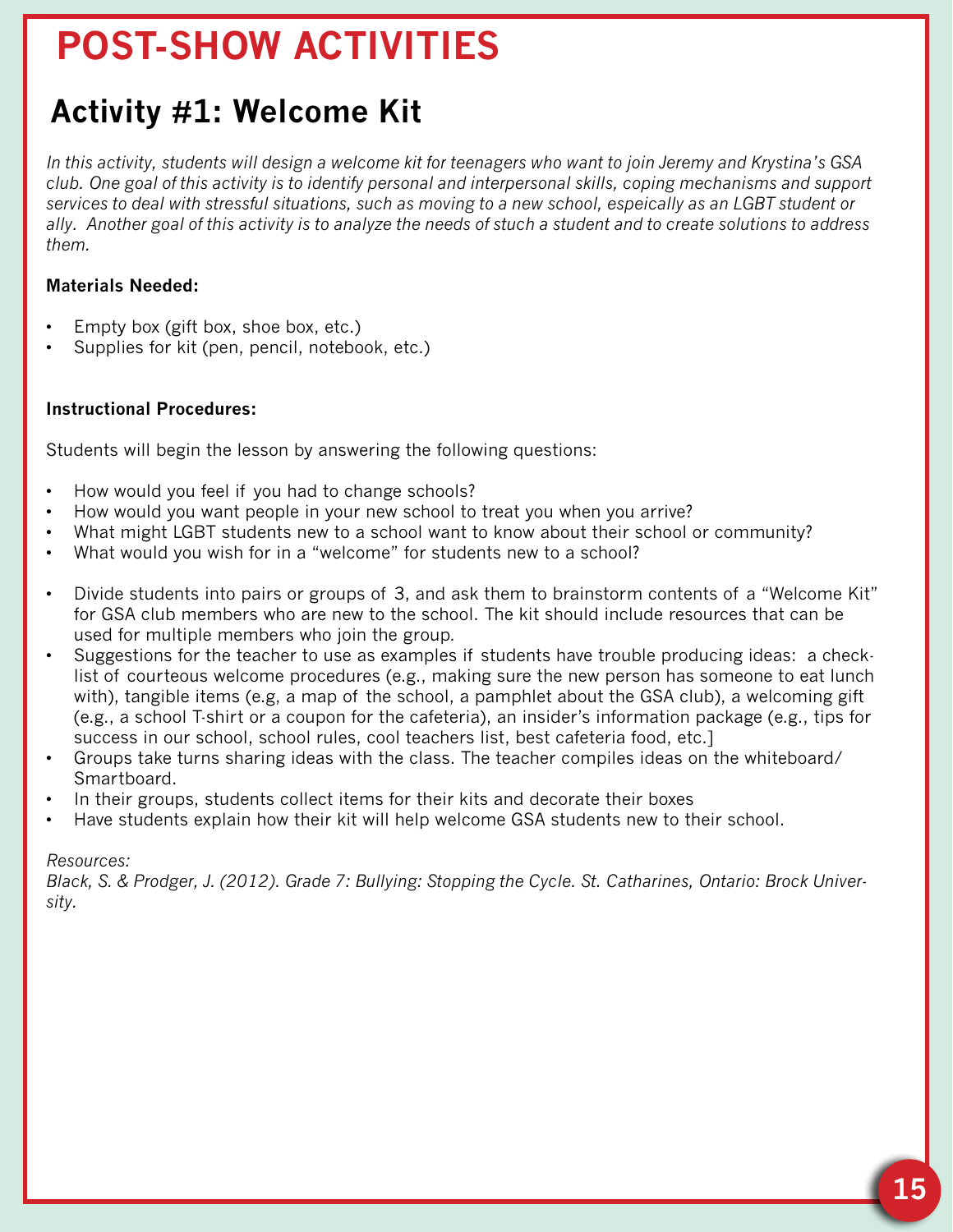### **Activity #1: Welcome Kit**

*In this activity, students will design a welcome kit for teenagers who want to join Jeremy and Krystina's GSA club. One goal of this activity is to identify personal and interpersonal skills, coping mechanisms and support services to deal with stressful situations, such as moving to a new school, espeically as an LGBT student or ally. Another goal of this activity is to analyze the needs of stuch a student and to create solutions to address them.*

#### **Materials Needed:**

- Empty box (gift box, shoe box, etc.)
- Supplies for kit (pen, pencil, notebook, etc.)

#### **Instructional Procedures:**

Students will begin the lesson by answering the following questions:

- How would you feel if you had to change schools?
- How would you want people in your new school to treat you when you arrive?
- What might LGBT students new to a school want to know about their school or community?
- What would you wish for in a "welcome" for students new to a school?
- Divide students into pairs or groups of 3, and ask them to brainstorm contents of a "Welcome Kit" for GSA club members who are new to the school. The kit should include resources that can be used for multiple members who join the group.
- Suggestions for the teacher to use as examples if students have trouble producing ideas: a checklist of courteous welcome procedures (e.g., making sure the new person has someone to eat lunch with), tangible items (e.g, a map of the school, a pamphlet about the GSA club), a welcoming gift (e.g., a school T-shirt or a coupon for the cafeteria), an insider's information package (e.g., tips for success in our school, school rules, cool teachers list, best cafeteria food, etc.]
- Groups take turns sharing ideas with the class. The teacher compiles ideas on the whiteboard/ Smartboard.
- In their groups, students collect items for their kits and decorate their boxes
- **13** Have students explain how their kit will help welcome GSA students new to their school.

#### *Resources:*

*Black, S. & Prodger, J. (2012). Grade 7: Bullying: Stopping the Cycle. St. Catharines, Ontario: Brock University.*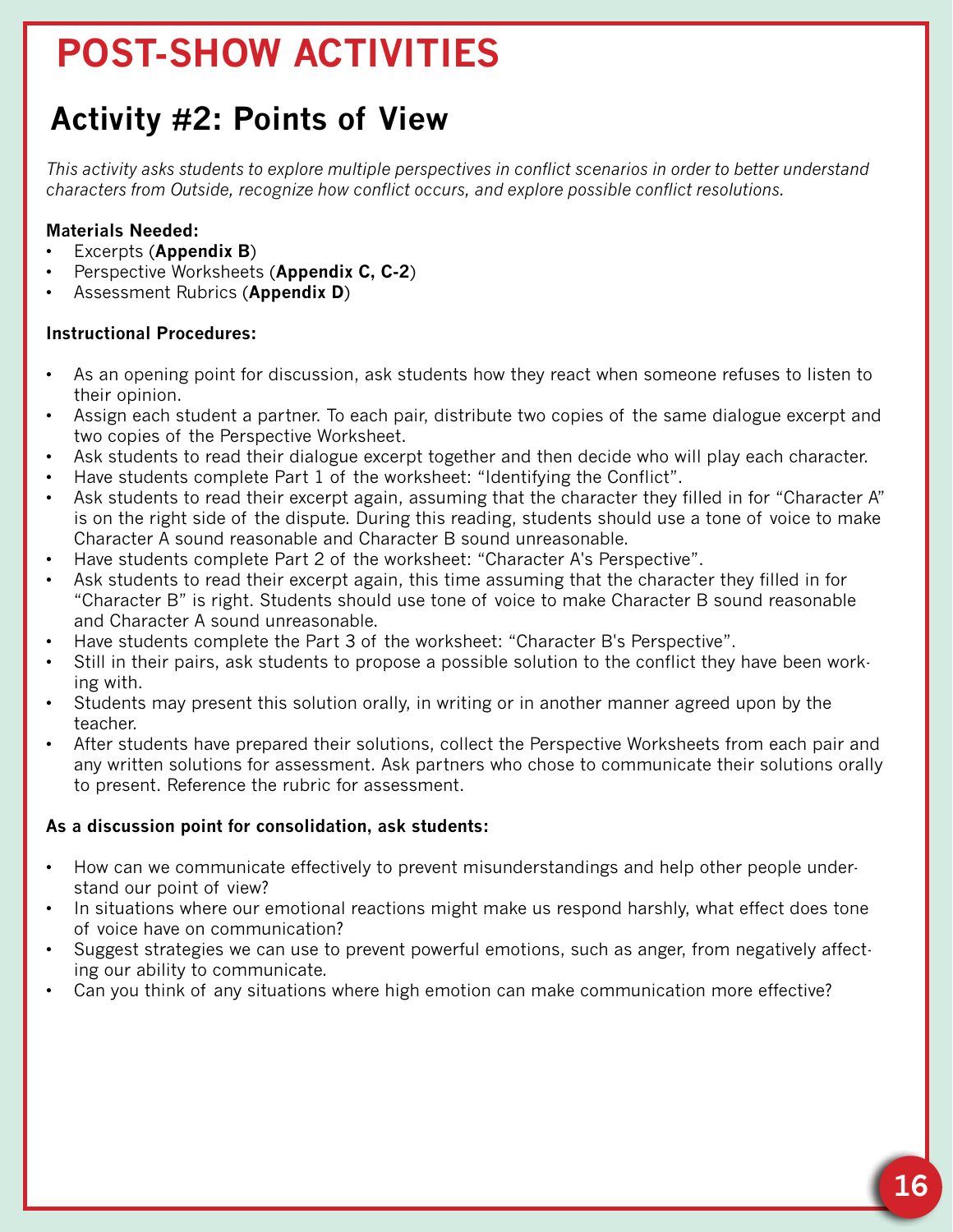### **Activity #2: Points of View**

*This activity asks students to explore multiple perspectives in conflict scenarios in order to better understand characters from Outside, recognize how conflict occurs, and explore possible conflict resolutions.* 

#### **Materials Needed:**

- Excerpts (**Appendix B**)
- Perspective Worksheets (**Appendix C, C-2**)
- Assessment Rubrics (**Appendix D**)

#### **Instructional Procedures:**

- As an opening point for discussion, ask students how they react when someone refuses to listen to their opinion.
- Assign each student a partner. To each pair, distribute two copies of the same dialogue excerpt and two copies of the Perspective Worksheet.
- Ask students to read their dialogue excerpt together and then decide who will play each character.
- Have students complete Part 1 of the worksheet: "Identifying the Conflict".
- Ask students to read their excerpt again, assuming that the character they filled in for "Character A" is on the right side of the dispute. During this reading, students should use a tone of voice to make Character A sound reasonable and Character B sound unreasonable.
- Have students complete Part 2 of the worksheet: "Character A's Perspective".
- Ask students to read their excerpt again, this time assuming that the character they filled in for "Character B" is right. Students should use tone of voice to make Character B sound reasonable and Character A sound unreasonable.
- Have students complete the Part 3 of the worksheet: "Character B's Perspective".
- Still in their pairs, ask students to propose a possible solution to the conflict they have been working with.
- Students may present this solution orally, in writing or in another manner agreed upon by the teacher.
- After students have prepared their solutions, collect the Perspective Worksheets from each pair and any written solutions for assessment. Ask partners who chose to communicate their solutions orally to present. Reference the rubric for assessment.

#### **As a discussion point for consolidation, ask students:**

- How can we communicate effectively to prevent misunderstandings and help other people understand our point of view?
- In situations where our emotional reactions might make us respond harshly, what effect does tone of voice have on communication?
- Suggest strategies we can use to prevent powerful emotions, such as anger, from negatively affecting our ability to communicate.
- Can you think of any situations where high emotion can make communication more effective?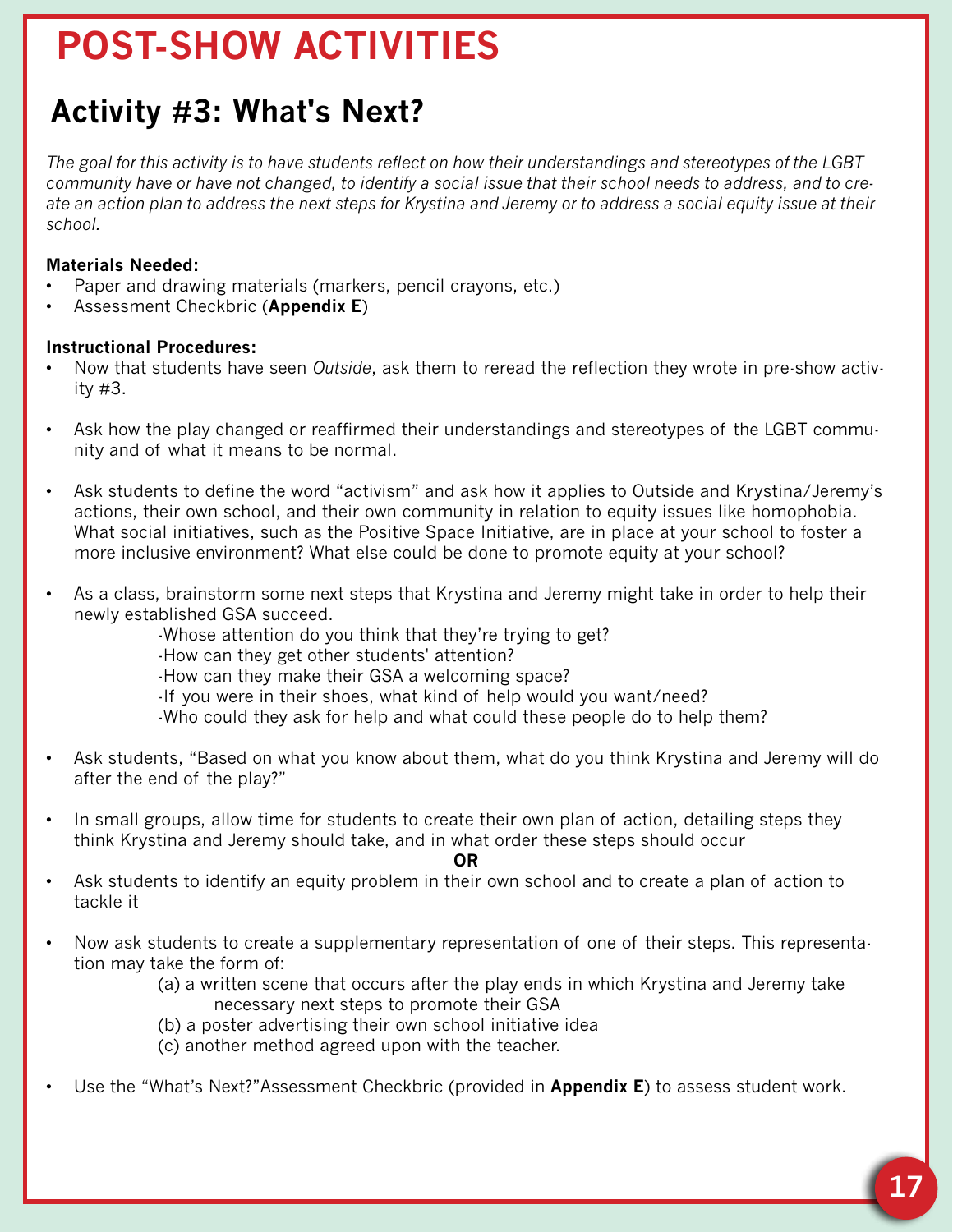### **Activity #3: What's Next?**

*The goal for this activity is to have students reflect on how their understandings and stereotypes of the LGBT community have or have not changed, to identify a social issue that their school needs to address, and to create an action plan to address the next steps for Krystina and Jeremy or to address a social equity issue at their school.* 

#### **Materials Needed:**

- Paper and drawing materials (markers, pencil crayons, etc.)
- Assessment Checkbric (**Appendix E**)

#### **Instructional Procedures:**

- Now that students have seen *Outside*, ask them to reread the reflection they wrote in pre-show activity #3.
- Ask how the play changed or reaffirmed their understandings and stereotypes of the LGBT community and of what it means to be normal.
- Ask students to define the word "activism" and ask how it applies to Outside and Krystina/Jeremy's actions, their own school, and their own community in relation to equity issues like homophobia. What social initiatives, such as the Positive Space Initiative, are in place at your school to foster a more inclusive environment? What else could be done to promote equity at your school?
- As a class, brainstorm some next steps that Krystina and Jeremy might take in order to help their newly established GSA succeed.

-Whose attention do you think that they're trying to get?

- -How can they get other students' attention?
- -How can they make their GSA a welcoming space?
- -If you were in their shoes, what kind of help would you want/need?

-Who could they ask for help and what could these people do to help them?

- Ask students, "Based on what you know about them, what do you think Krystina and Jeremy will do after the end of the play?"
- In small groups, allow time for students to create their own plan of action, detailing steps they think Krystina and Jeremy should take, and in what order these steps should occur

**OR**

- Ask students to identify an equity problem in their own school and to create a plan of action to tackle it
- Now ask students to create a supplementary representation of one of their steps. This representation may take the form of:
	- (a) a written scene that occurs after the play ends in which Krystina and Jeremy take necessary next steps to promote their GSA
	- (b) a poster advertising their own school initiative idea
	- (c) another method agreed upon with the teacher.
- Use the "What's Next?"Assessment Checkbric (provided in **Appendix E**) to assess student work.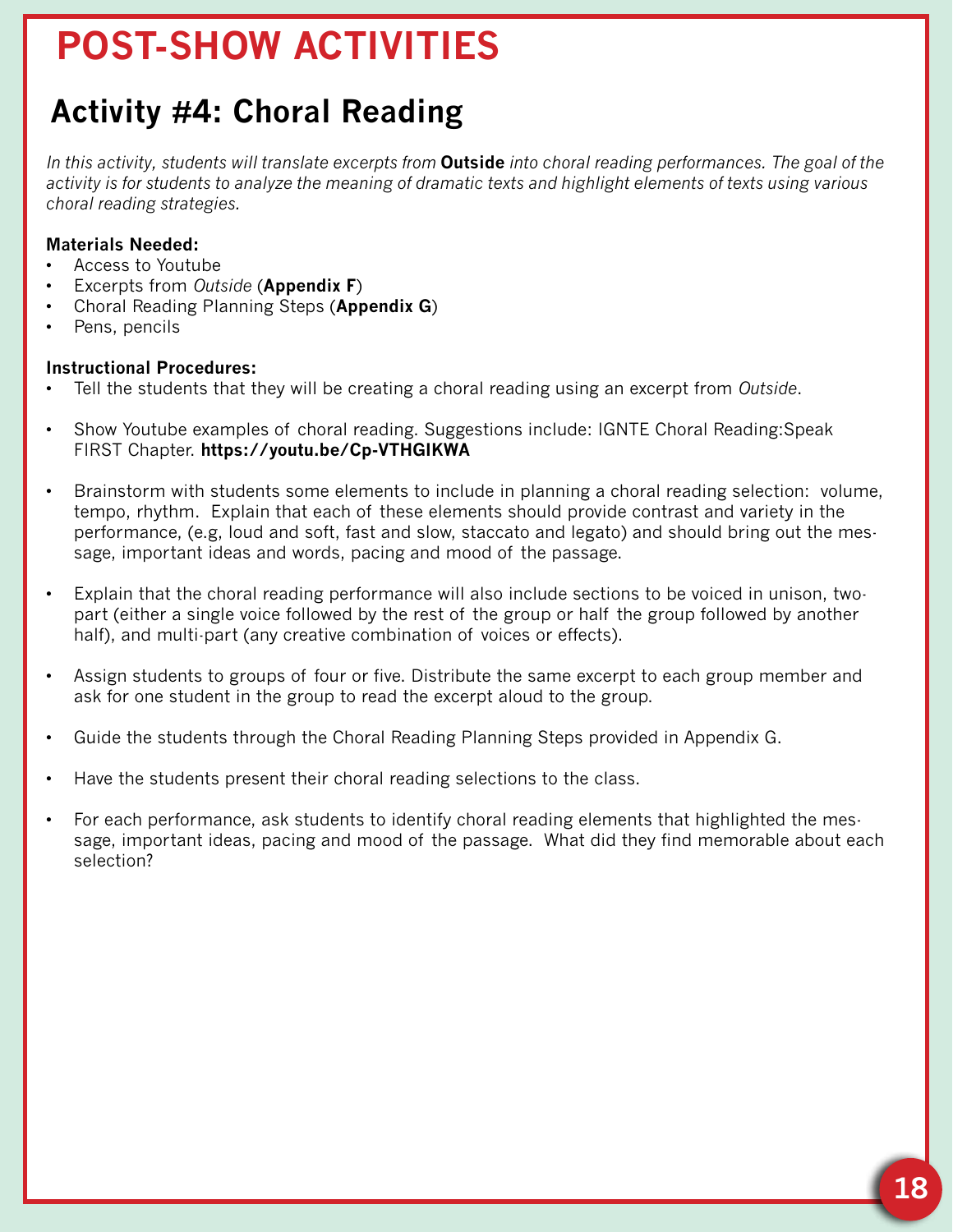### **Activity #4: Choral Reading**

*In this activity, students will translate excerpts from* **Outside** *into choral reading performances. The goal of the activity is for students to analyze the meaning of dramatic texts and highlight elements of texts using various choral reading strategies.*

#### **Materials Needed:**

- Access to Youtube
- Excerpts from *Outside* (**Appendix F**)
- Choral Reading Planning Steps (**Appendix G**)
- Pens, pencils

#### **Instructional Procedures:**

- Tell the students that they will be creating a choral reading using an excerpt from *Outside*.
- Show Youtube examples of choral reading. Suggestions include: IGNTE Choral Reading:Speak FIRST Chapter. **https://youtu.be/Cp-VTHGIKWA**
- Brainstorm with students some elements to include in planning a choral reading selection: volume, tempo, rhythm. Explain that each of these elements should provide contrast and variety in the performance, (e.g, loud and soft, fast and slow, staccato and legato) and should bring out the message, important ideas and words, pacing and mood of the passage.
- Explain that the choral reading performance will also include sections to be voiced in unison, twopart (either a single voice followed by the rest of the group or half the group followed by another half), and multi-part (any creative combination of voices or effects).
- Assign students to groups of four or five. Distribute the same excerpt to each group member and ask for one student in the group to read the excerpt aloud to the group.
- Guide the students through the Choral Reading Planning Steps provided in Appendix G.
- Have the students present their choral reading selections to the class.
- For each performance, ask students to identify choral reading elements that highlighted the message, important ideas, pacing and mood of the passage. What did they find memorable about each selection?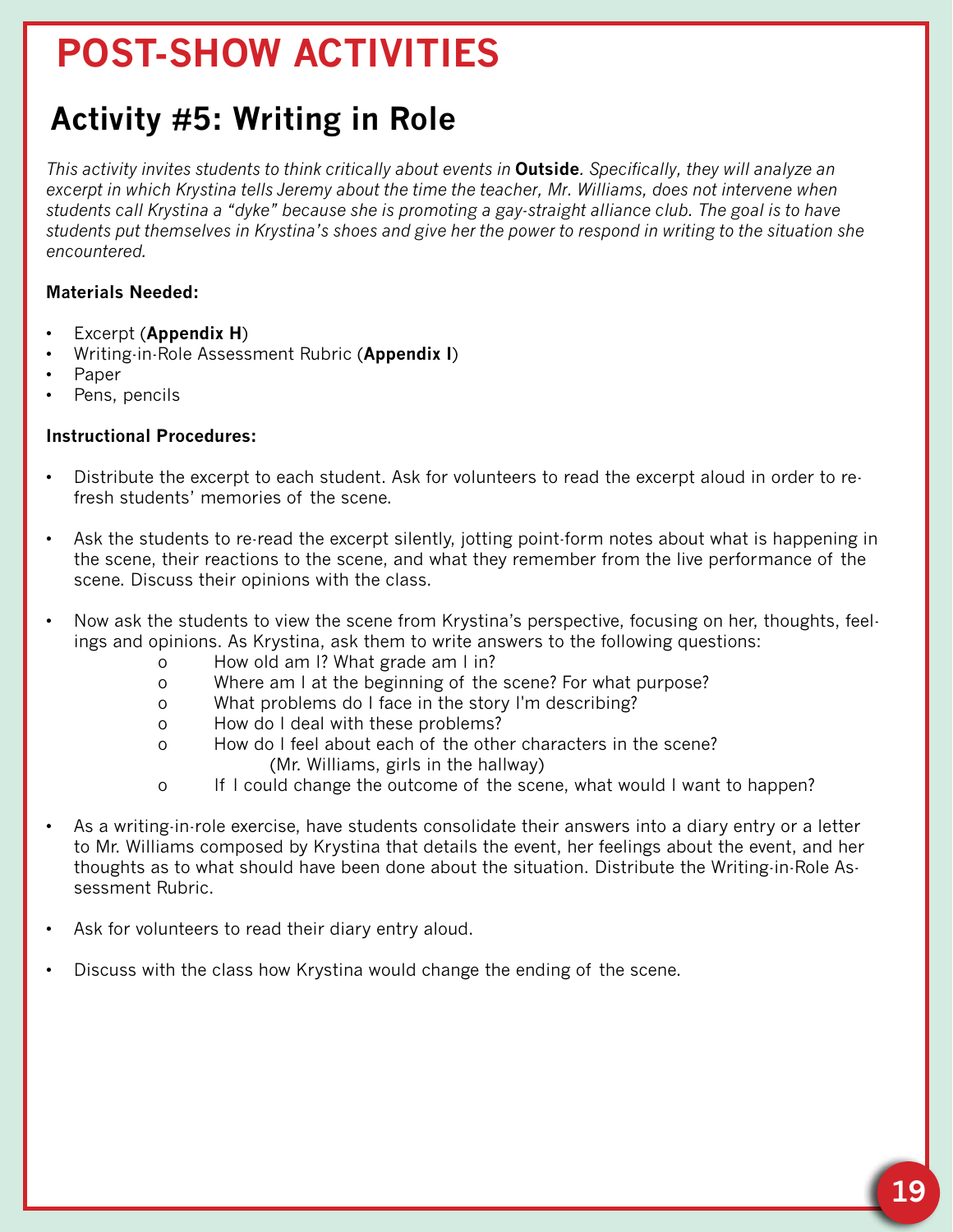### **Activity #5: Writing in Role**

*This activity invites students to think critically about events in* **Outside***. Specifically, they will analyze an excerpt in which Krystina tells Jeremy about the time the teacher, Mr. Williams, does not intervene when students call Krystina a "dyke" because she is promoting a gay-straight alliance club. The goal is to have students put themselves in Krystina's shoes and give her the power to respond in writing to the situation she encountered.* 

#### **Materials Needed:**

- Excerpt (**Appendix H**)
- Writing-in-Role Assessment Rubric (**Appendix I**)
- Paper
- Pens, pencils

#### **Instructional Procedures:**

- Distribute the excerpt to each student. Ask for volunteers to read the excerpt aloud in order to refresh students' memories of the scene.
- Ask the students to re-read the excerpt silently, jotting point-form notes about what is happening in the scene, their reactions to the scene, and what they remember from the live performance of the scene. Discuss their opinions with the class.
- Now ask the students to view the scene from Krystina's perspective, focusing on her, thoughts, feelings and opinions. As Krystina, ask them to write answers to the following questions:
	- o How old am I? What grade am I in?
	- o Where am I at the beginning of the scene? For what purpose?
	- o What problems do I face in the story I'm describing?
	- o How do I deal with these problems?
	- o How do I feel about each of the other characters in the scene? (Mr. Williams, girls in the hallway)
	- o If I could change the outcome of the scene, what would I want to happen?
- As a writing-in-role exercise, have students consolidate their answers into a diary entry or a letter to Mr. Williams composed by Krystina that details the event, her feelings about the event, and her thoughts as to what should have been done about the situation. Distribute the Writing-in-Role Assessment Rubric.
- Ask for volunteers to read their diary entry aloud.
- Discuss with the class how Krystina would change the ending of the scene.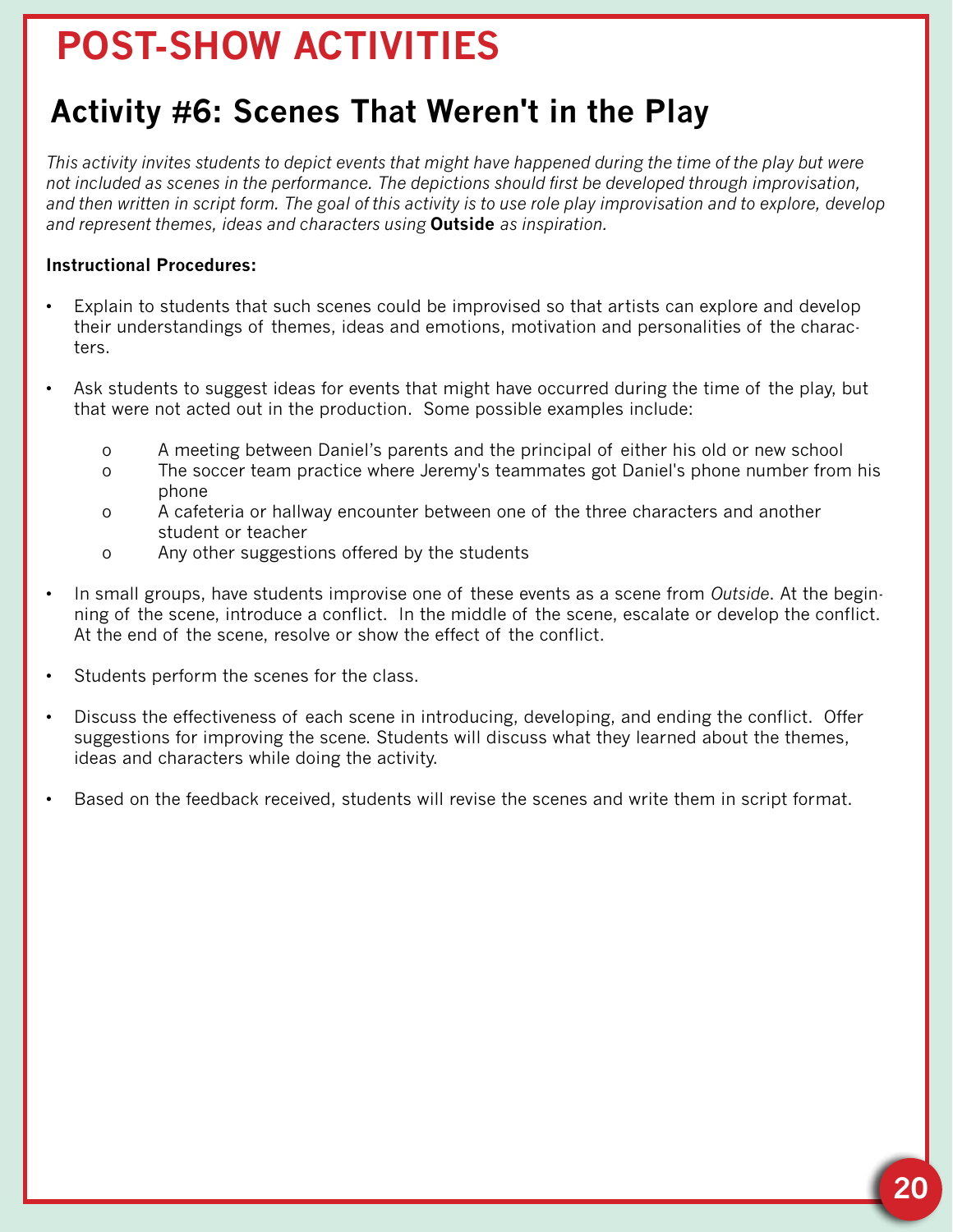### **Activity #6: Scenes That Weren't in the Play**

*This activity invites students to depict events that might have happened during the time of the play but were not included as scenes in the performance. The depictions should first be developed through improvisation, and then written in script form. The goal of this activity is to use role play improvisation and to explore, develop and represent themes, ideas and characters using* **Outside** *as inspiration.*

#### **Instructional Procedures:**

- Explain to students that such scenes could be improvised so that artists can explore and develop their understandings of themes, ideas and emotions, motivation and personalities of the characters.
- Ask students to suggest ideas for events that might have occurred during the time of the play, but that were not acted out in the production. Some possible examples include:
	- o A meeting between Daniel's parents and the principal of either his old or new school
	- o The soccer team practice where Jeremy's teammates got Daniel's phone number from his phone
	- o A cafeteria or hallway encounter between one of the three characters and another student or teacher
	- o Any other suggestions offered by the students
- In small groups, have students improvise one of these events as a scene from *Outside*. At the beginning of the scene, introduce a conflict. In the middle of the scene, escalate or develop the conflict. At the end of the scene, resolve or show the effect of the conflict.
- Students perform the scenes for the class.
- Discuss the effectiveness of each scene in introducing, developing, and ending the conflict. Offer suggestions for improving the scene. Students will discuss what they learned about the themes, ideas and characters while doing the activity.
- Based on the feedback received, students will revise the scenes and write them in script format.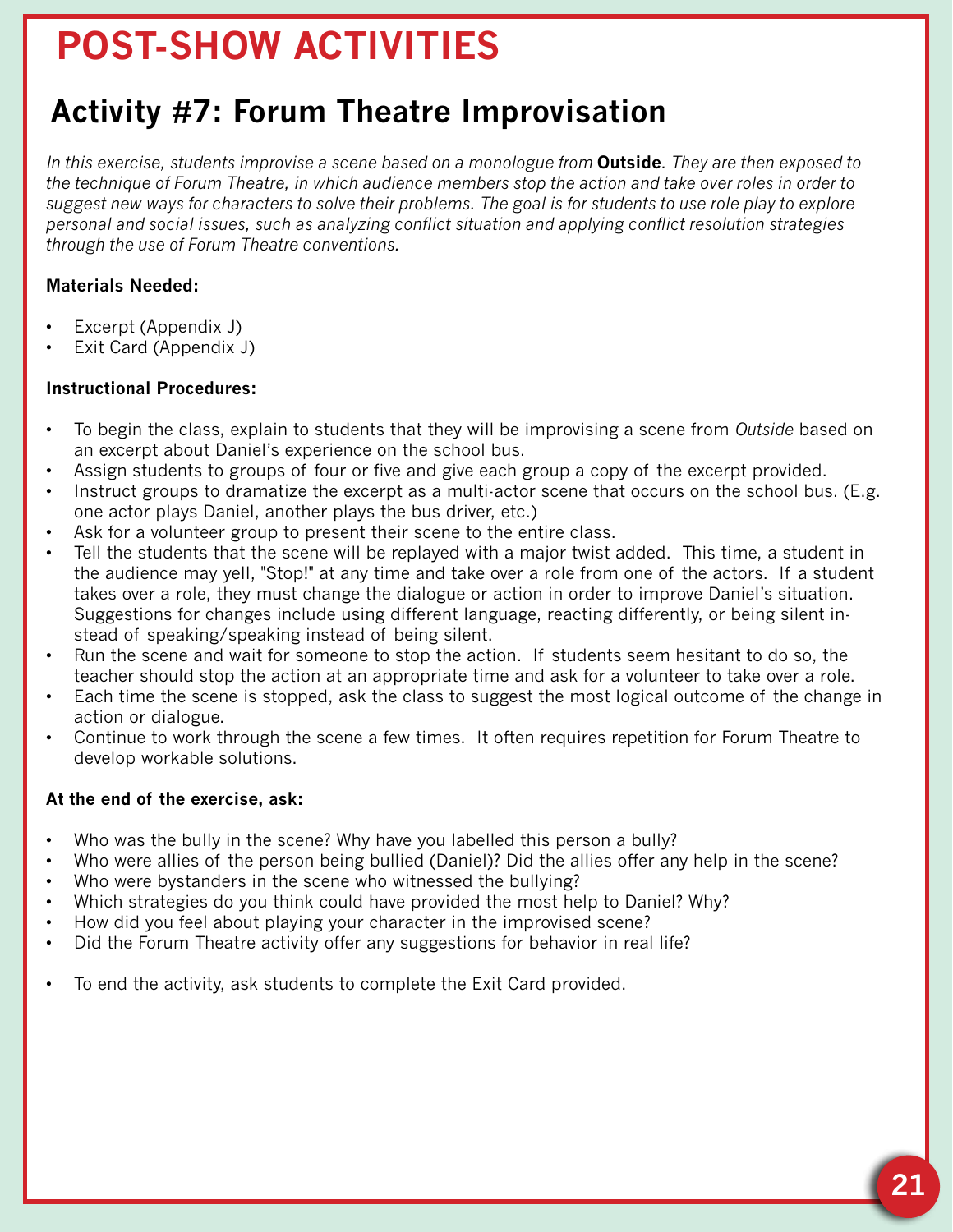### **Activity #7: Forum Theatre Improvisation**

*In this exercise, students improvise a scene based on a monologue from* **Outside***. They are then exposed to the technique of Forum Theatre, in which audience members stop the action and take over roles in order to suggest new ways for characters to solve their problems. The goal is for students to use role play to explore personal and social issues, such as analyzing conflict situation and applying conflict resolution strategies through the use of Forum Theatre conventions.*

#### **Materials Needed:**

- Excerpt (Appendix J)
- Exit Card (Appendix J)

#### **Instructional Procedures:**

- To begin the class, explain to students that they will be improvising a scene from *Outside* based on an excerpt about Daniel's experience on the school bus.
- Assign students to groups of four or five and give each group a copy of the excerpt provided.
- Instruct groups to dramatize the excerpt as a multi-actor scene that occurs on the school bus. (E.g. one actor plays Daniel, another plays the bus driver, etc.)
- Ask for a volunteer group to present their scene to the entire class.
- Tell the students that the scene will be replayed with a major twist added. This time, a student in the audience may yell, "Stop!" at any time and take over a role from one of the actors. If a student takes over a role, they must change the dialogue or action in order to improve Daniel's situation. Suggestions for changes include using different language, reacting differently, or being silent instead of speaking/speaking instead of being silent.
- Run the scene and wait for someone to stop the action. If students seem hesitant to do so, the teacher should stop the action at an appropriate time and ask for a volunteer to take over a role.
- Each time the scene is stopped, ask the class to suggest the most logical outcome of the change in action or dialogue.
- Continue to work through the scene a few times. It often requires repetition for Forum Theatre to develop workable solutions.

#### **At the end of the exercise, ask:**

- Who was the bully in the scene? Why have you labelled this person a bully?
- Who were allies of the person being bullied (Daniel)? Did the allies offer any help in the scene?
- Who were bystanders in the scene who witnessed the bullying?
- Which strategies do you think could have provided the most help to Daniel? Why?
- How did you feel about playing your character in the improvised scene?
- Did the Forum Theatre activity offer any suggestions for behavior in real life?
- To end the activity, ask students to complete the Exit Card provided.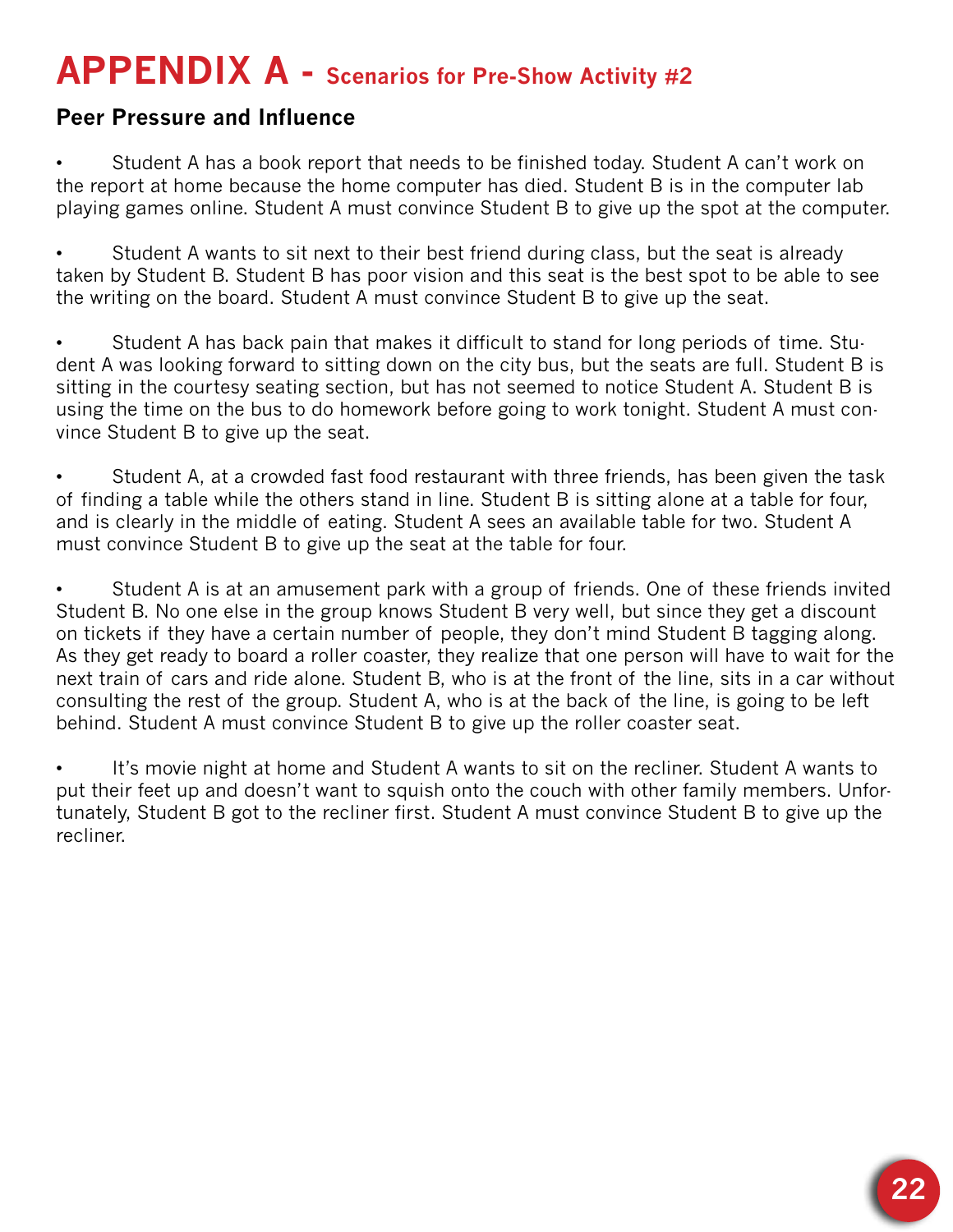### **APPENDIX A - Scenarios for Pre-Show Activity #2**

### **Peer Pressure and Influence**

Student A has a book report that needs to be finished today. Student A can't work on the report at home because the home computer has died. Student B is in the computer lab playing games online. Student A must convince Student B to give up the spot at the computer.

Student A wants to sit next to their best friend during class, but the seat is already taken by Student B. Student B has poor vision and this seat is the best spot to be able to see the writing on the board. Student A must convince Student B to give up the seat.

• Student A has back pain that makes it difficult to stand for long periods of time. Student A was looking forward to sitting down on the city bus, but the seats are full. Student B is sitting in the courtesy seating section, but has not seemed to notice Student A. Student B is using the time on the bus to do homework before going to work tonight. Student A must convince Student B to give up the seat.

• Student A, at a crowded fast food restaurant with three friends, has been given the task of finding a table while the others stand in line. Student B is sitting alone at a table for four, and is clearly in the middle of eating. Student A sees an available table for two. Student A must convince Student B to give up the seat at the table for four.

Student A is at an amusement park with a group of friends. One of these friends invited Student B. No one else in the group knows Student B very well, but since they get a discount on tickets if they have a certain number of people, they don't mind Student B tagging along. As they get ready to board a roller coaster, they realize that one person will have to wait for the next train of cars and ride alone. Student B, who is at the front of the line, sits in a car without consulting the rest of the group. Student A, who is at the back of the line, is going to be left behind. Student A must convince Student B to give up the roller coaster seat.

It's movie night at home and Student A wants to sit on the recliner. Student A wants to put their feet up and doesn't want to squish onto the couch with other family members. Unfortunately, Student B got to the recliner first. Student A must convince Student B to give up the recliner.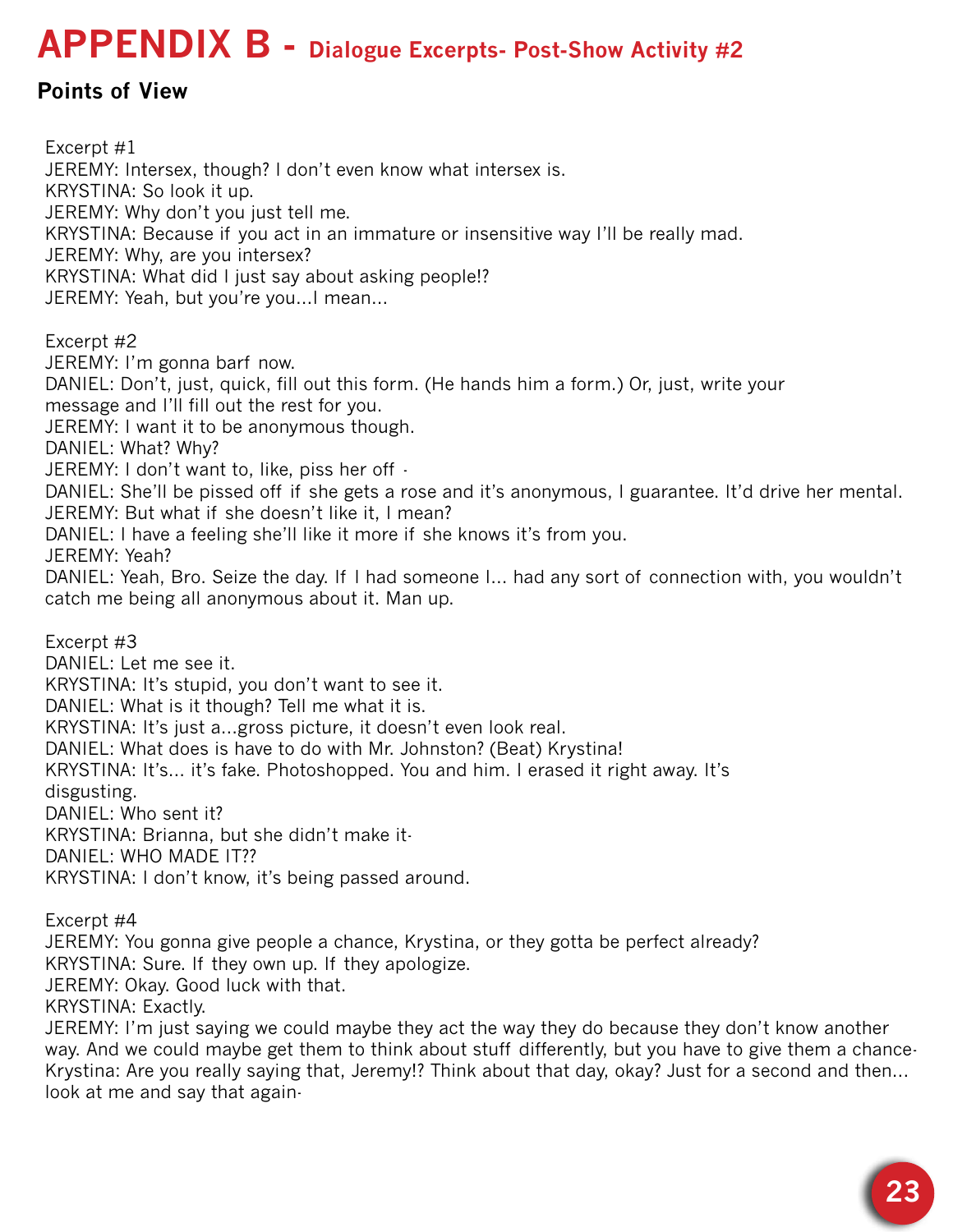### **APPENDIX B - Dialogue Excerpts- Post-Show Activity #2**

### **Points of View**

Excerpt #1 JEREMY: Intersex, though? I don't even know what intersex is. KRYSTINA: So look it up. JEREMY: Why don't you just tell me. KRYSTINA: Because if you act in an immature or insensitive way I'll be really mad. JEREMY: Why, are you intersex? KRYSTINA: What did I just say about asking people!? JEREMY: Yeah, but you're you...I mean… Excerpt #2 JEREMY: I'm gonna barf now. DANIEL: Don't, just, quick, fill out this form. (He hands him a form.) Or, just, write your message and I'll fill out the rest for you. JEREMY: I want it to be anonymous though. DANIEL: What? Why? JEREMY: I don't want to, like, piss her off - DANIEL: She'll be pissed off if she gets a rose and it's anonymous, I guarantee. It'd drive her mental. JEREMY: But what if she doesn't like it, I mean? DANIEL: I have a feeling she'll like it more if she knows it's from you. JEREMY: Yeah? DANIEL: Yeah, Bro. Seize the day. If I had someone I... had any sort of connection with, you wouldn't catch me being all anonymous about it. Man up. Excerpt #3 DANIEL: Let me see it. KRYSTINA: It's stupid, you don't want to see it. DANIEL: What is it though? Tell me what it is. KRYSTINA: It's just a...gross picture, it doesn't even look real. DANIEL: What does is have to do with Mr. Johnston? (Beat) Krystina! KRYSTINA: It's... it's fake. Photoshopped. You and him. I erased it right away. It's disgusting. DANIEL: Who sent it? KRYSTINA: Brianna, but she didn't make it-DANIEL: WHO MADE IT?? KRYSTINA: I don't know, it's being passed around. Excerpt #4 JEREMY: You gonna give people a chance, Krystina, or they gotta be perfect already? KRYSTINA: Sure. If they own up. If they apologize.

JEREMY: Okay. Good luck with that.

KRYSTINA: Exactly.

JEREMY: I'm just saying we could maybe they act the way they do because they don't know another way. And we could maybe get them to think about stuff differently, but you have to give them a chance-Krystina: Are you really saying that, Jeremy!? Think about that day, okay? Just for a second and then... look at me and say that again-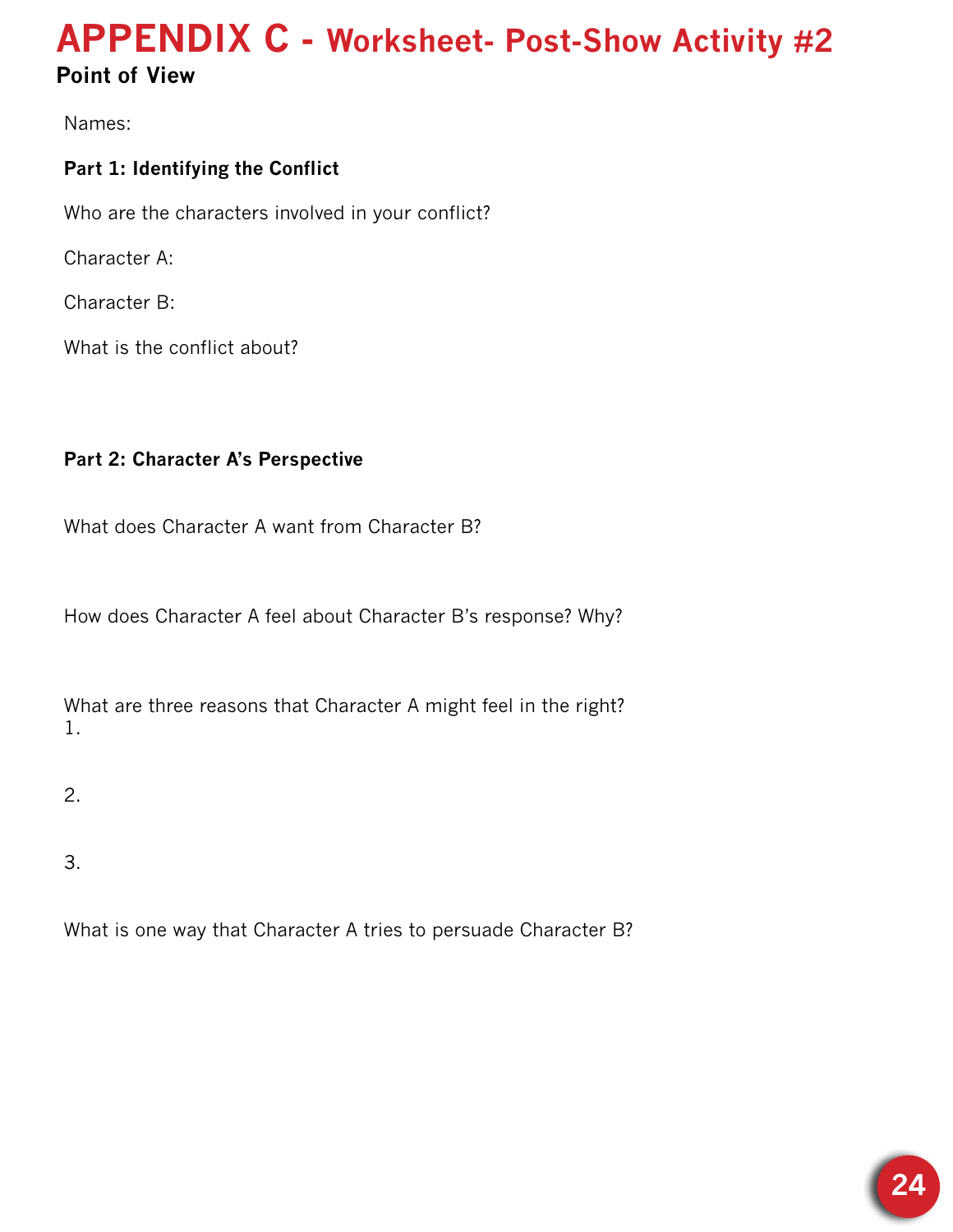### **APPENDIX C - Worksheet- Post-Show Activity #2 Point of View**

Names:

### **Part 1: Identifying the Conflict**

Who are the characters involved in your conflict?

Character A:

Character B:

What is the conflict about?

### **Part 2: Character A's Perspective**

What does Character A want from Character B?

How does Character A feel about Character B's response? Why?

What are three reasons that Character A might feel in the right? 1.

2.

3.

What is one way that Character A tries to persuade Character B?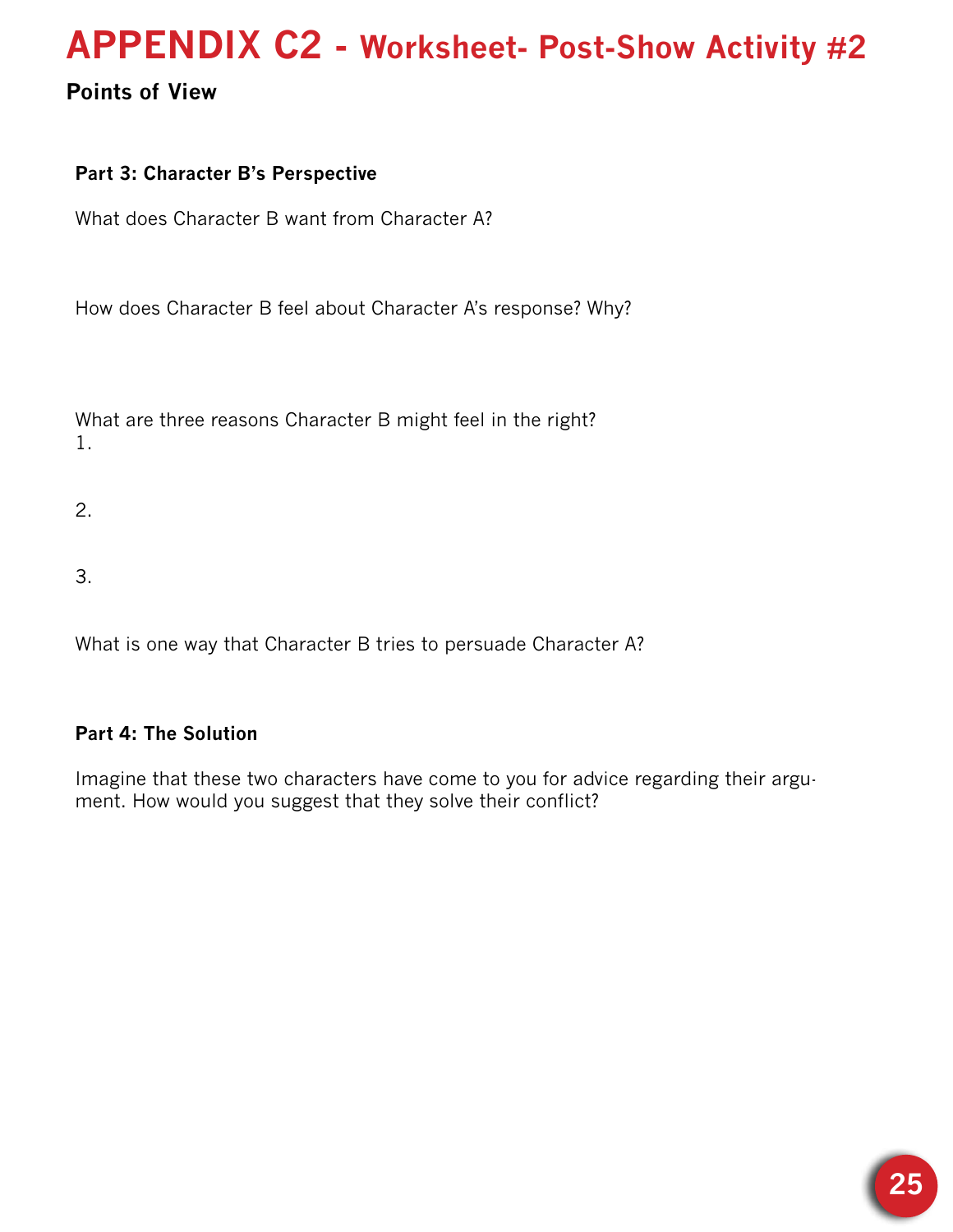## **APPENDIX C2 - Worksheet- Post-Show Activity #2**

### **Points of View**

#### **Part 3: Character B's Perspective**

What does Character B want from Character A?

How does Character B feel about Character A's response? Why?

What are three reasons Character B might feel in the right? 1.

2.

3.

What is one way that Character B tries to persuade Character A?

#### **Part 4: The Solution**

Imagine that these two characters have come to you for advice regarding their argument. How would you suggest that they solve their conflict?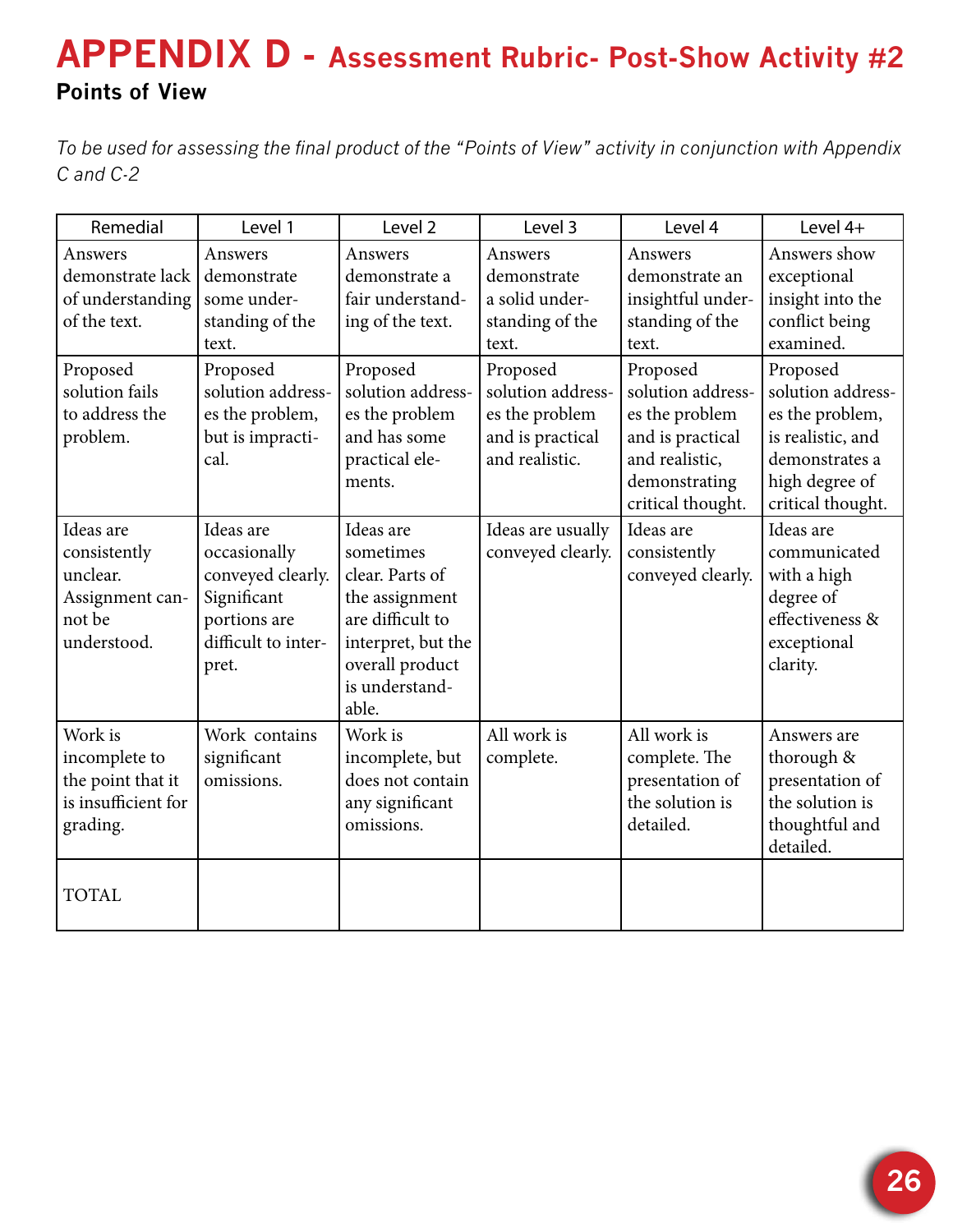### **APPENDIX D - Assessment Rubric- Post-Show Activity #2 Points of View**

*To be used for assessing the final product of the "Points of View" activity in conjunction with Appendix C and C-2*

| Remedial                                 | Level 1                   | Level 2                             | Level 3           | Level 4                            | Level 4+                           |
|------------------------------------------|---------------------------|-------------------------------------|-------------------|------------------------------------|------------------------------------|
| Answers                                  | Answers                   | Answers                             | Answers           | Answers                            | Answers show                       |
| demonstrate lack                         | demonstrate               | demonstrate a                       | demonstrate       | demonstrate an                     | exceptional                        |
| of understanding                         | some under-               | fair understand-                    | a solid under-    | insightful under-                  | insight into the                   |
| of the text.                             | standing of the           | ing of the text.                    | standing of the   | standing of the                    | conflict being                     |
|                                          | text.                     |                                     | text.             | text.                              | examined.                          |
| Proposed                                 | Proposed                  | Proposed                            | Proposed          | Proposed                           | Proposed                           |
| solution fails                           | solution address-         | solution address-                   | solution address- | solution address-                  | solution address-                  |
| to address the                           | es the problem,           | es the problem                      | es the problem    | es the problem                     | es the problem,                    |
| problem.                                 | but is impracti-          | and has some                        | and is practical  | and is practical                   | is realistic, and                  |
|                                          | cal.                      | practical ele-                      | and realistic.    | and realistic,                     | demonstrates a                     |
|                                          |                           | ments.                              |                   | demonstrating                      | high degree of                     |
|                                          |                           |                                     |                   | critical thought.                  | critical thought.                  |
| Ideas are                                | Ideas are                 | Ideas are                           | Ideas are usually | Ideas are                          | Ideas are                          |
| consistently                             | occasionally              | sometimes                           | conveyed clearly. | consistently                       | communicated                       |
| unclear.                                 | conveyed clearly.         | clear. Parts of                     |                   | conveyed clearly.                  | with a high                        |
| Assignment can-                          | Significant               | the assignment                      |                   |                                    | degree of                          |
| not be                                   | portions are              | are difficult to                    |                   |                                    | effectiveness &                    |
| understood.                              | difficult to inter-       | interpret, but the                  |                   |                                    | exceptional                        |
|                                          | pret.                     | overall product<br>is understand-   |                   |                                    | clarity.                           |
|                                          |                           | able.                               |                   |                                    |                                    |
|                                          |                           |                                     |                   |                                    |                                    |
| Work is                                  | Work contains             | Work is                             | All work is       | All work is                        | Answers are                        |
| incomplete to                            | significant<br>omissions. | incomplete, but<br>does not contain | complete.         | complete. The                      | thorough &                         |
| the point that it<br>is insufficient for |                           |                                     |                   | presentation of<br>the solution is | presentation of<br>the solution is |
| grading.                                 |                           | any significant<br>omissions.       |                   | detailed.                          | thoughtful and                     |
|                                          |                           |                                     |                   |                                    | detailed.                          |
|                                          |                           |                                     |                   |                                    |                                    |
| <b>TOTAL</b>                             |                           |                                     |                   |                                    |                                    |
|                                          |                           |                                     |                   |                                    |                                    |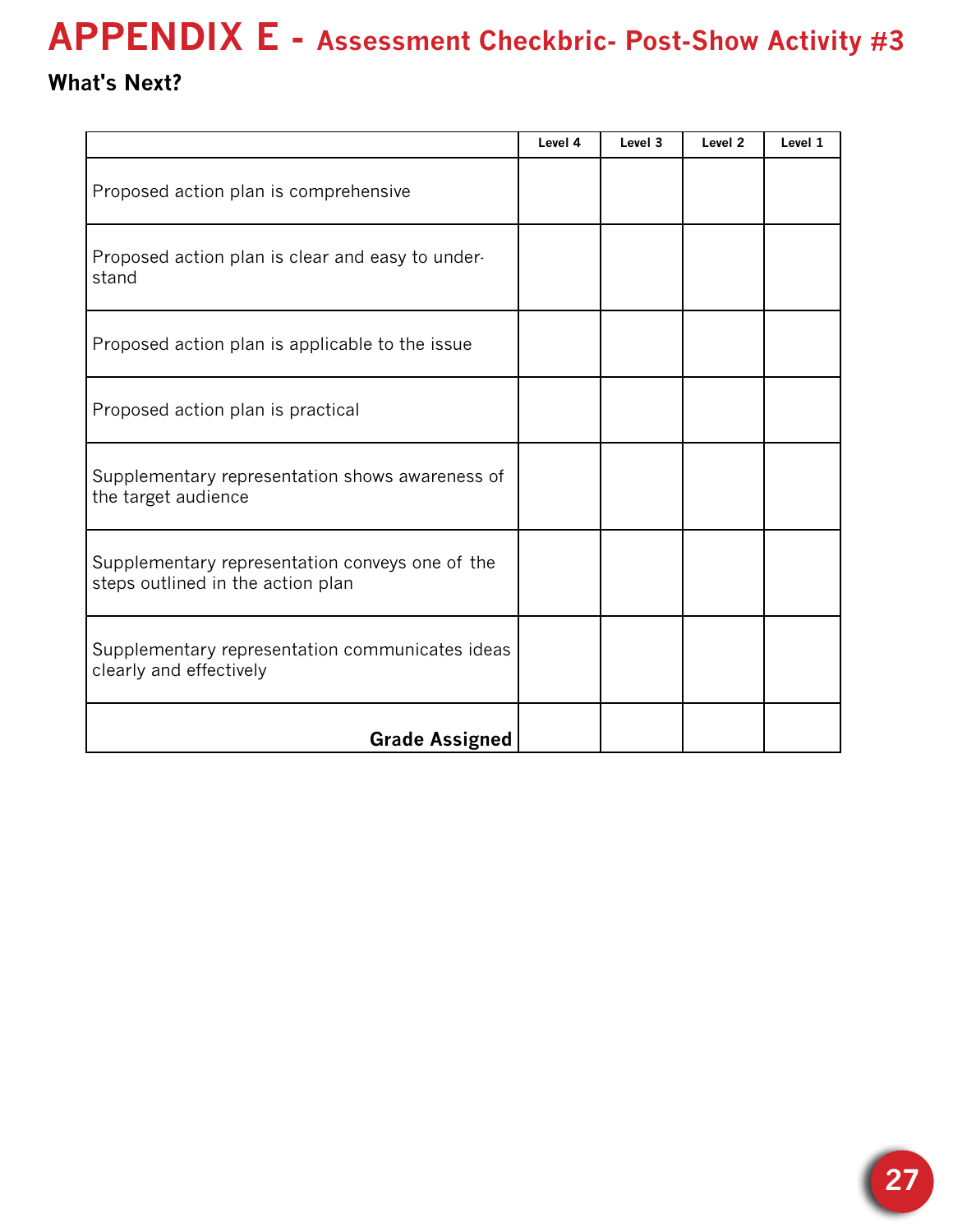## **APPENDIX E - Assessment Checkbric- Post-Show Activity #3**

### **What's Next?**

|                                                                                      | Level 4 | Level 3 | Level <sub>2</sub> | Level 1 |
|--------------------------------------------------------------------------------------|---------|---------|--------------------|---------|
| Proposed action plan is comprehensive                                                |         |         |                    |         |
| Proposed action plan is clear and easy to under-<br>stand                            |         |         |                    |         |
| Proposed action plan is applicable to the issue                                      |         |         |                    |         |
| Proposed action plan is practical                                                    |         |         |                    |         |
| Supplementary representation shows awareness of<br>the target audience               |         |         |                    |         |
| Supplementary representation conveys one of the<br>steps outlined in the action plan |         |         |                    |         |
| Supplementary representation communicates ideas<br>clearly and effectively           |         |         |                    |         |
| <b>Grade Assigned</b>                                                                |         |         |                    |         |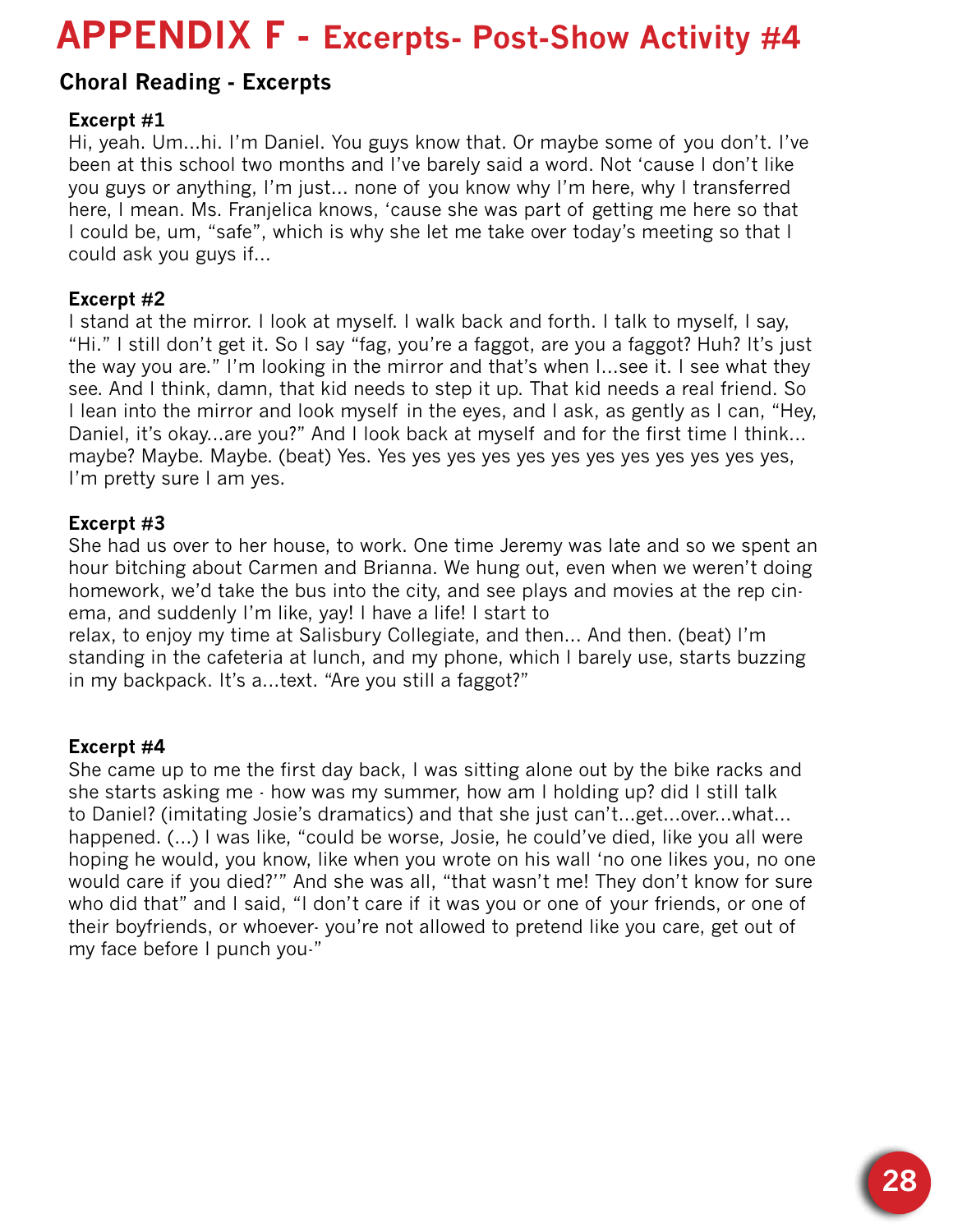## **APPENDIX F - Excerpts- Post-Show Activity #4**

### **Choral Reading - Excerpts**

#### **Excerpt #1**

Hi, yeah. Um…hi. I'm Daniel. You guys know that. Or maybe some of you don't. I've been at this school two months and I've barely said a word. Not 'cause I don't like you guys or anything, I'm just… none of you know why I'm here, why I transferred here, I mean. Ms. Franjelica knows, 'cause she was part of getting me here so that I could be, um, "safe", which is why she let me take over today's meeting so that I could ask you guys if…

#### **Excerpt #2**

I stand at the mirror. I look at myself. I walk back and forth. I talk to myself, I say, "Hi." I still don't get it. So I say "fag, you're a faggot, are you a faggot? Huh? It's just the way you are." I'm looking in the mirror and that's when I...see it. I see what they see. And I think, damn, that kid needs to step it up. That kid needs a real friend. So I lean into the mirror and look myself in the eyes, and I ask, as gently as I can, "Hey, Daniel, it's okay...are you?" And I look back at myself and for the first time I think... maybe? Maybe. Maybe. (beat) Yes. Yes yes yes yes yes yes yes yes yes yes yes yes, I'm pretty sure I am yes.

#### **Excerpt #3**

She had us over to her house, to work. One time Jeremy was late and so we spent an hour bitching about Carmen and Brianna. We hung out, even when we weren't doing homework, we'd take the bus into the city, and see plays and movies at the rep cinema, and suddenly I'm like, yay! I have a life! I start to

relax, to enjoy my time at Salisbury Collegiate, and then... And then. (beat) I'm standing in the cafeteria at lunch, and my phone, which I barely use, starts buzzing in my backpack. It's a...text. "Are you still a faggot?"

#### **Excerpt #4**

She came up to me the first day back, I was sitting alone out by the bike racks and she starts asking me - how was my summer, how am I holding up? did I still talk to Daniel? (imitating Josie's dramatics) and that she just can't...get...over...what... happened. (…) I was like, "could be worse, Josie, he could've died, like you all were hoping he would, you know, like when you wrote on his wall 'no one likes you, no one would care if you died?'" And she was all, "that wasn't me! They don't know for sure who did that" and I said, "I don't care if it was you or one of your friends, or one of their boyfriends, or whoever- you're not allowed to pretend like you care, get out of my face before I punch you-"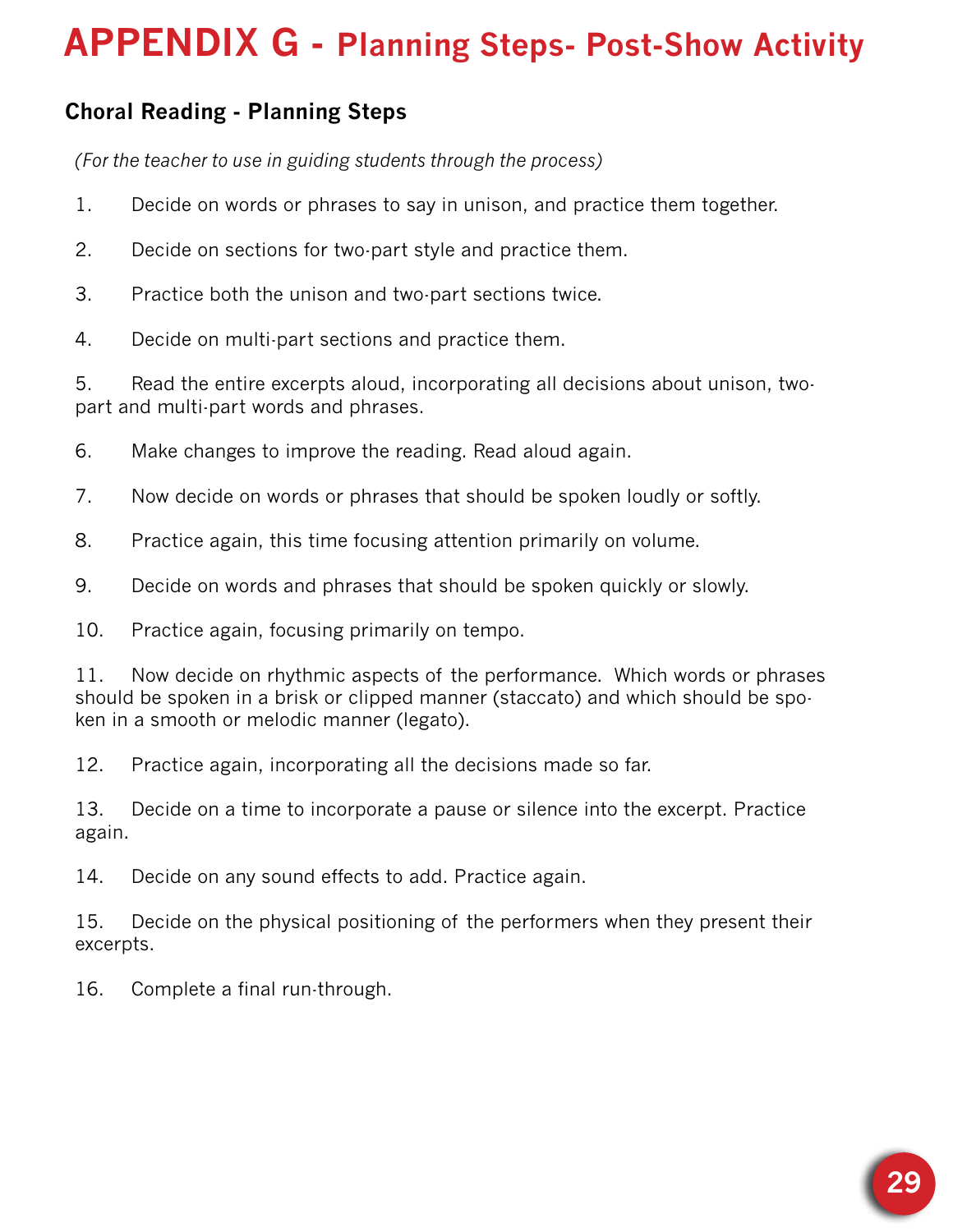### **APPENDIX G - Planning Steps- Post-Show Activity**

### **Choral Reading - Planning Steps**

*(For the teacher to use in guiding students through the process)*

- 1. Decide on words or phrases to say in unison, and practice them together.
- 2. Decide on sections for two-part style and practice them.
- 3. Practice both the unison and two-part sections twice.
- 4. Decide on multi-part sections and practice them.

5. Read the entire excerpts aloud, incorporating all decisions about unison, twopart and multi-part words and phrases.

- 6. Make changes to improve the reading. Read aloud again.
- 7. Now decide on words or phrases that should be spoken loudly or softly.
- 8. Practice again, this time focusing attention primarily on volume.
- 9. Decide on words and phrases that should be spoken quickly or slowly.
- 10. Practice again, focusing primarily on tempo.

11. Now decide on rhythmic aspects of the performance. Which words or phrases should be spoken in a brisk or clipped manner (staccato) and which should be spoken in a smooth or melodic manner (legato).

12. Practice again, incorporating all the decisions made so far.

13. Decide on a time to incorporate a pause or silence into the excerpt. Practice again.

14. Decide on any sound effects to add. Practice again.

15. Decide on the physical positioning of the performers when they present their excerpts.

16. Complete a final run-through.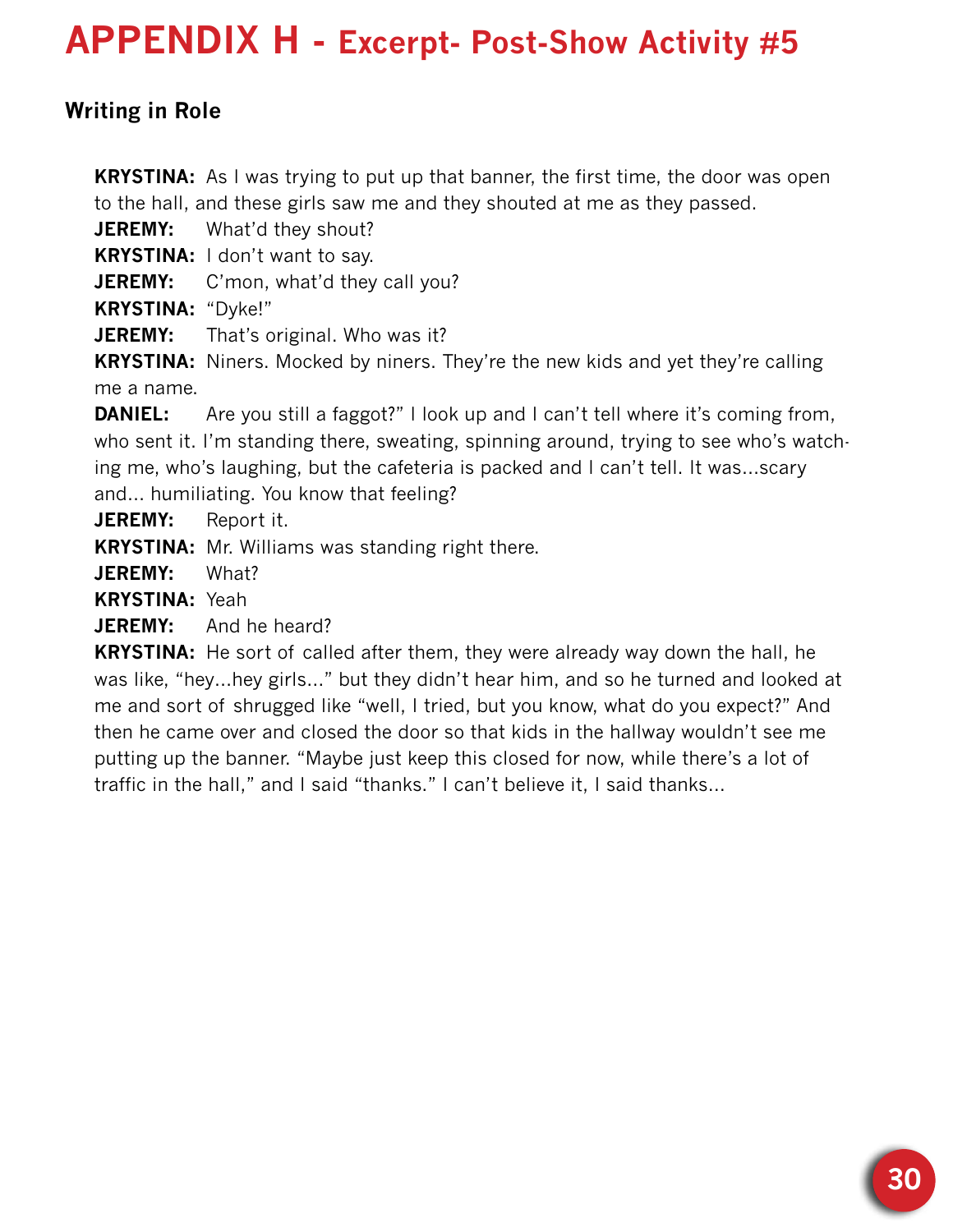## **APPENDIX H - Excerpt- Post-Show Activity #5**

### **Writing in Role**

**KRYSTINA:** As I was trying to put up that banner, the first time, the door was open to the hall, and these girls saw me and they shouted at me as they passed.

**JEREMY:** What'd they shout?

**KRYSTINA:** I don't want to say.

**JEREMY:** C'mon, what'd they call you?

**KRYSTINA:** "Dyke!"

**JEREMY:** That's original. Who was it?

**KRYSTINA:** Niners. Mocked by niners. They're the new kids and yet they're calling me a name.

**DANIEL:** Are you still a faggot?" I look up and I can't tell where it's coming from, who sent it. I'm standing there, sweating, spinning around, trying to see who's watching me, who's laughing, but the cafeteria is packed and I can't tell. It was…scary and… humiliating. You know that feeling?

**JEREMY:** Report it.

**KRYSTINA:** Mr. Williams was standing right there.

**JEREMY:** What?

**KRYSTINA:** Yeah

**JEREMY:** And he heard?

**KRYSTINA:** He sort of called after them, they were already way down the hall, he was like, "hey…hey girls…" but they didn't hear him, and so he turned and looked at me and sort of shrugged like "well, I tried, but you know, what do you expect?" And then he came over and closed the door so that kids in the hallway wouldn't see me putting up the banner. "Maybe just keep this closed for now, while there's a lot of traffic in the hall," and I said "thanks." I can't believe it, I said thanks…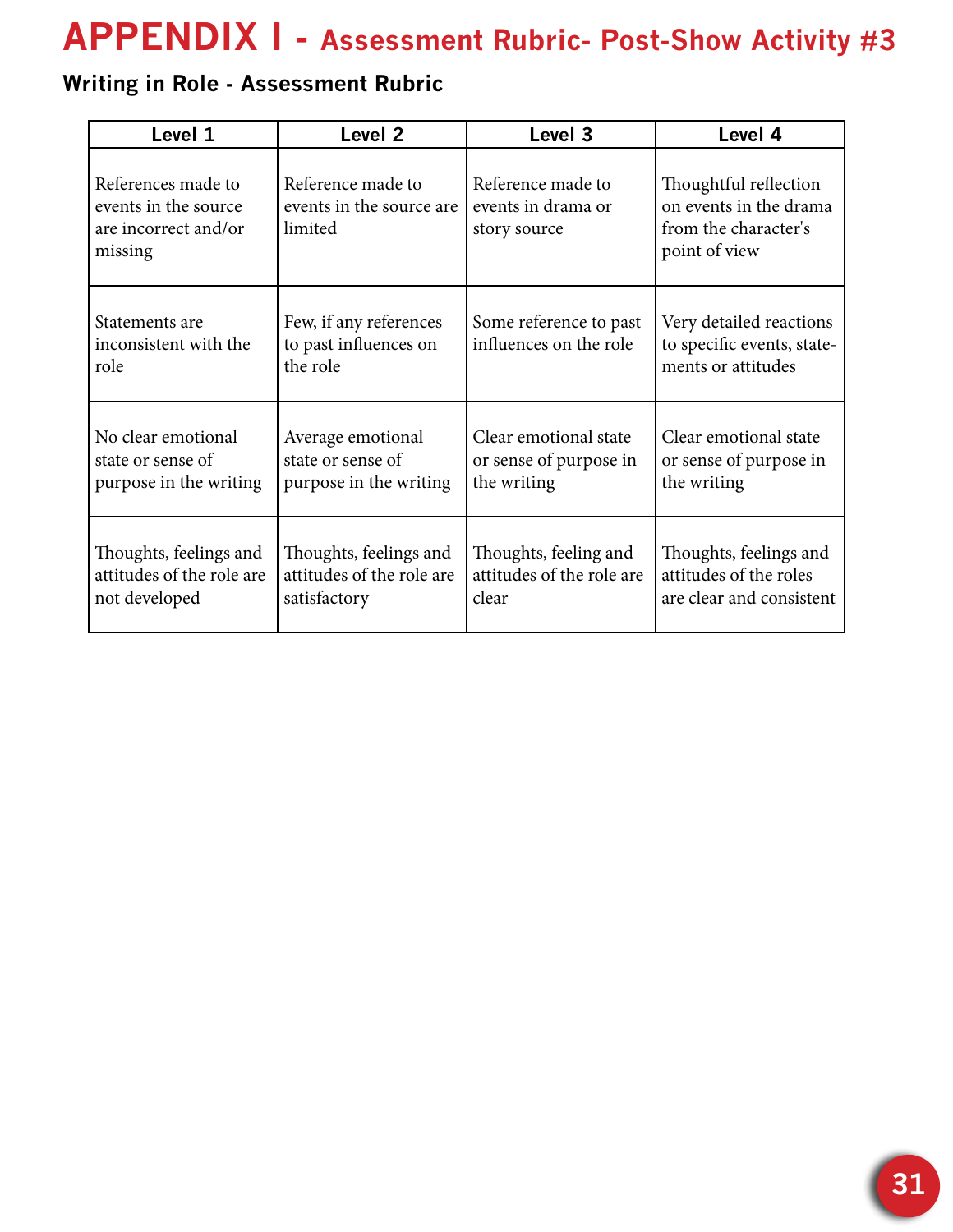## **APPENDIX I - Assessment Rubric- Post-Show Activity #3**

### **Writing in Role - Assessment Rubric**

| Level 1                                                                       | Level <sub>2</sub>                                                  | Level <sub>3</sub>                                             | Level 4                                                                                  |
|-------------------------------------------------------------------------------|---------------------------------------------------------------------|----------------------------------------------------------------|------------------------------------------------------------------------------------------|
| References made to<br>events in the source<br>are incorrect and/or<br>missing | Reference made to<br>events in the source are<br>limited            | Reference made to<br>events in drama or<br>story source        | Thoughtful reflection<br>on events in the drama<br>from the character's<br>point of view |
| Statements are<br>inconsistent with the<br>role                               | Few, if any references<br>to past influences on<br>the role         | Some reference to past<br>influences on the role               | Very detailed reactions<br>to specific events, state-<br>ments or attitudes              |
| No clear emotional<br>state or sense of<br>purpose in the writing             | Average emotional<br>state or sense of<br>purpose in the writing    | Clear emotional state<br>or sense of purpose in<br>the writing | Clear emotional state<br>or sense of purpose in<br>the writing                           |
| Thoughts, feelings and<br>attitudes of the role are<br>not developed          | Thoughts, feelings and<br>attitudes of the role are<br>satisfactory | Thoughts, feeling and<br>attitudes of the role are<br>clear    | Thoughts, feelings and<br>attitudes of the roles<br>are clear and consistent             |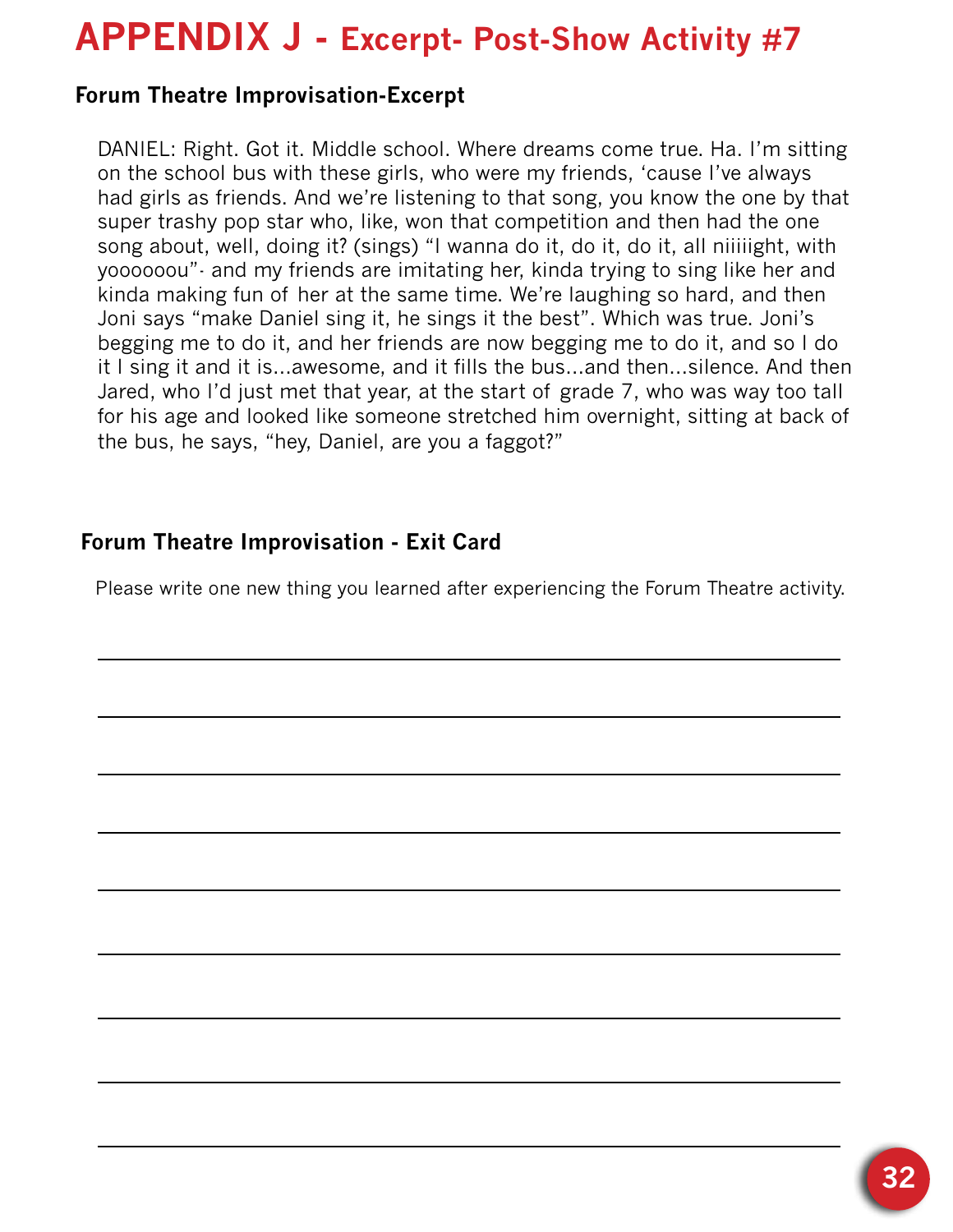### **APPENDIX J - Excerpt- Post-Show Activity #7**

### **Forum Theatre Improvisation-Excerpt**

DANIEL: Right. Got it. Middle school. Where dreams come true. Ha. I'm sitting on the school bus with these girls, who were my friends, 'cause I've always had girls as friends. And we're listening to that song, you know the one by that super trashy pop star who, like, won that competition and then had the one song about, well, doing it? (sings) "I wanna do it, do it, do it, all niiiiight, with yoooooou"- and my friends are imitating her, kinda trying to sing like her and kinda making fun of her at the same time. We're laughing so hard, and then Joni says "make Daniel sing it, he sings it the best". Which was true. Joni's begging me to do it, and her friends are now begging me to do it, and so I do it I sing it and it is…awesome, and it fills the bus…and then…silence. And then Jared, who I'd just met that year, at the start of grade 7, who was way too tall for his age and looked like someone stretched him overnight, sitting at back of the bus, he says, "hey, Daniel, are you a faggot?"

### **Forum Theatre Improvisation - Exit Card**

Please write one new thing you learned after experiencing the Forum Theatre activity.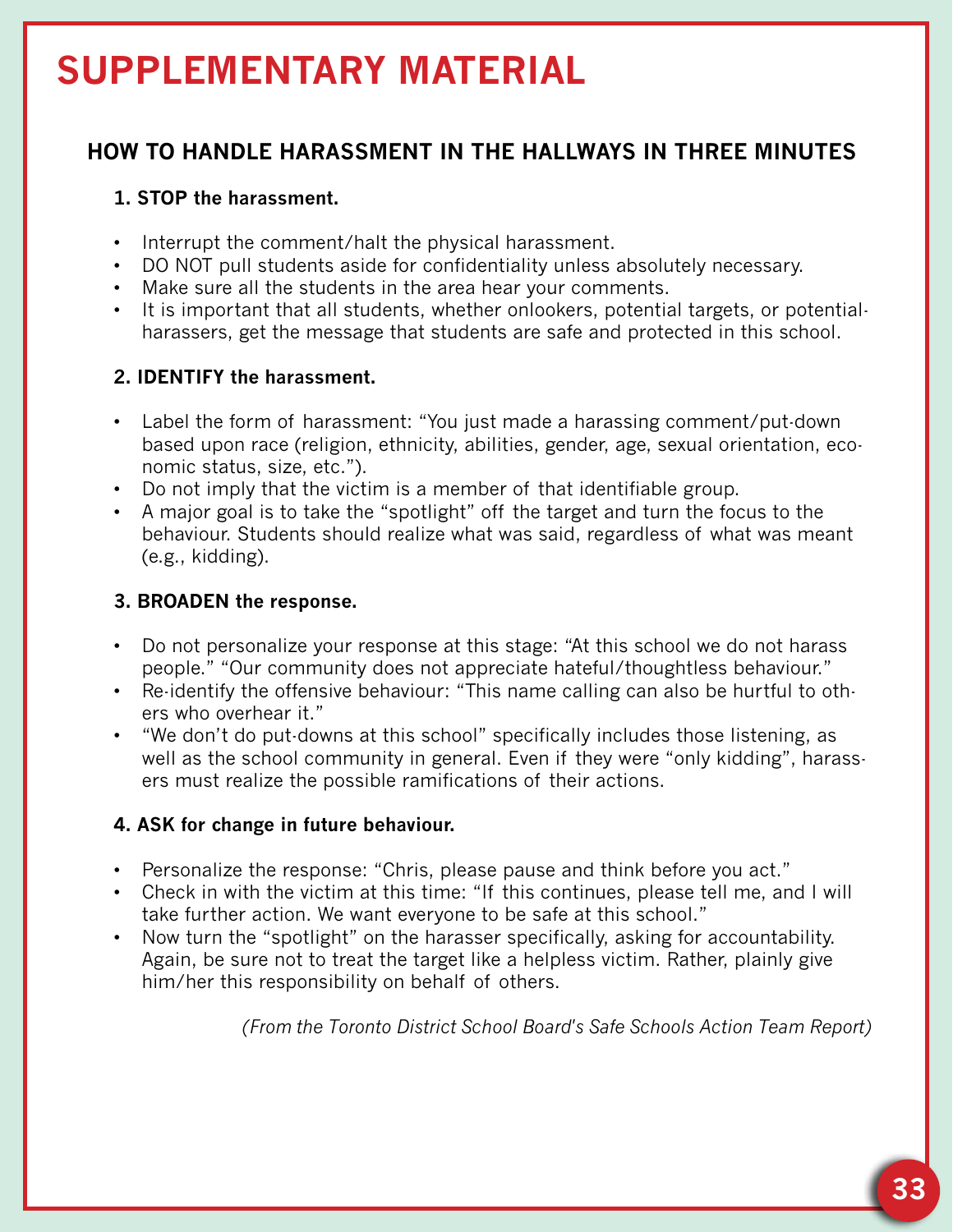## **SUPPLEMENTARY MATERIAL**

### **HOW TO HANDLE HARASSMENT IN THE HALLWAYS IN THREE MINUTES**

### **1. STOP the harassment.**

- Interrupt the comment/halt the physical harassment.
- DO NOT pull students aside for confidentiality unless absolutely necessary.
- Make sure all the students in the area hear your comments.
- It is important that all students, whether onlookers, potential targets, or potentialharassers, get the message that students are safe and protected in this school.

### **2. IDENTIFY the harassment.**

- Label the form of harassment: "You just made a harassing comment/put-down based upon race (religion, ethnicity, abilities, gender, age, sexual orientation, economic status, size, etc.").
- Do not imply that the victim is a member of that identifiable group.
- A major goal is to take the "spotlight" off the target and turn the focus to the behaviour. Students should realize what was said, regardless of what was meant (e.g., kidding).

#### **3. BROADEN the response.**

- Do not personalize your response at this stage: "At this school we do not harass people." "Our community does not appreciate hateful/thoughtless behaviour."
- Re-identify the offensive behaviour: "This name calling can also be hurtful to others who overhear it."
- "We don't do put-downs at this school" specifically includes those listening, as well as the school community in general. Even if they were "only kidding", harassers must realize the possible ramifications of their actions.

#### **4. ASK for change in future behaviour.**

- Personalize the response: "Chris, please pause and think before you act."
- Check in with the victim at this time: "If this continues, please tell me, and I will take further action. We want everyone to be safe at this school."
- Now turn the "spotlight" on the harasser specifically, asking for accountability. Again, be sure not to treat the target like a helpless victim. Rather, plainly give him/her this responsibility on behalf of others.

*(From the Toronto District School Board's Safe Schools Action Team Report)*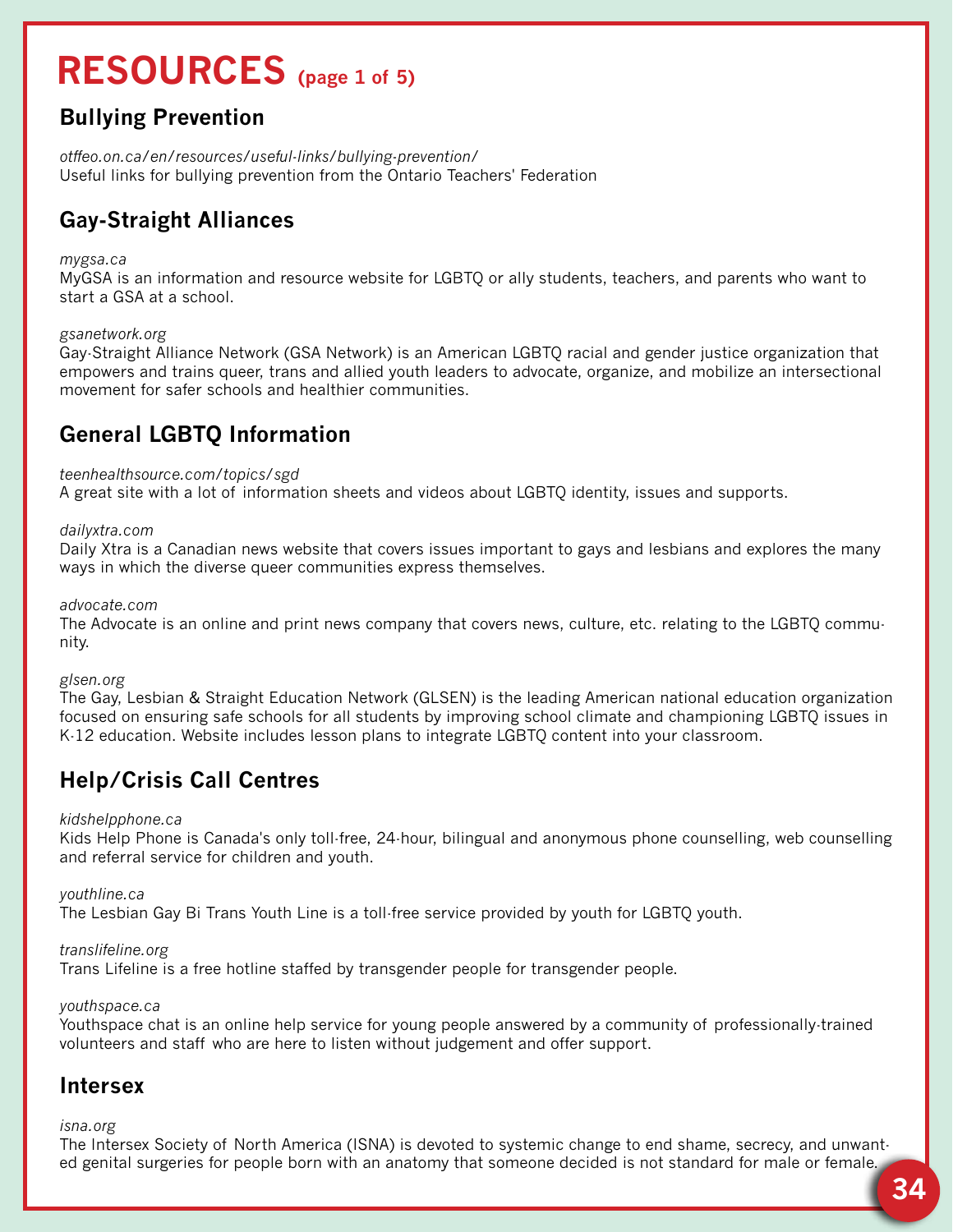### **RESOURCES (page 1 of 5)**

### **Bullying Prevention**

*otffeo.on.ca/en/resources/useful-links/bullying-prevention/* Useful links for bullying prevention from the Ontario Teachers' Federation

### **Gay-Straight Alliances**

*mygsa.ca*

MyGSA is an information and resource website for LGBTQ or ally students, teachers, and parents who want to start a GSA at a school.

#### *gsanetwork.org*

Gay-Straight Alliance Network (GSA Network) is an American LGBTQ racial and gender justice organization that empowers and trains queer, trans and allied youth leaders to advocate, organize, and mobilize an intersectional movement for safer schools and healthier communities.

### **General LGBTQ Information**

#### *teenhealthsource.com/topics/sgd*

A great site with a lot of information sheets and videos about LGBTQ identity, issues and supports.

#### *dailyxtra.com*

Daily Xtra is a Canadian news website that covers issues important to gays and lesbians and explores the many ways in which the diverse queer communities express themselves.

#### *advocate.com*

The Advocate is an online and print news company that covers news, culture, etc. relating to the LGBTQ community.

#### *glsen.org*

The Gay, Lesbian & Straight Education Network (GLSEN) is the leading American national education organization focused on ensuring safe schools for all students by improving school climate and championing LGBTQ issues in K-12 education. Website includes lesson plans to integrate LGBTQ content into your classroom.

### **Help/Crisis Call Centres**

#### *kidshelpphone.ca*

Kids Help Phone is Canada's only toll-free, 24-hour, bilingual and anonymous phone counselling, web counselling and referral service for children and youth.

#### *youthline.ca*

The Lesbian Gay Bi Trans Youth Line is a toll-free service provided by youth for LGBTQ youth.

#### *translifeline.org*

Trans Lifeline is a free hotline staffed by transgender people for transgender people.

#### *youthspace.ca*

Youthspace chat is an online help service for young people answered by a community of professionally-trained volunteers and staff who are here to listen without judgement and offer support.

#### **Intersex**

#### *isna.org*

The Intersex Society of North America (ISNA) is devoted to systemic change to end shame, secrecy, and unwanted genital surgeries for people born with an anatomy that someone decided is not standard for male or female.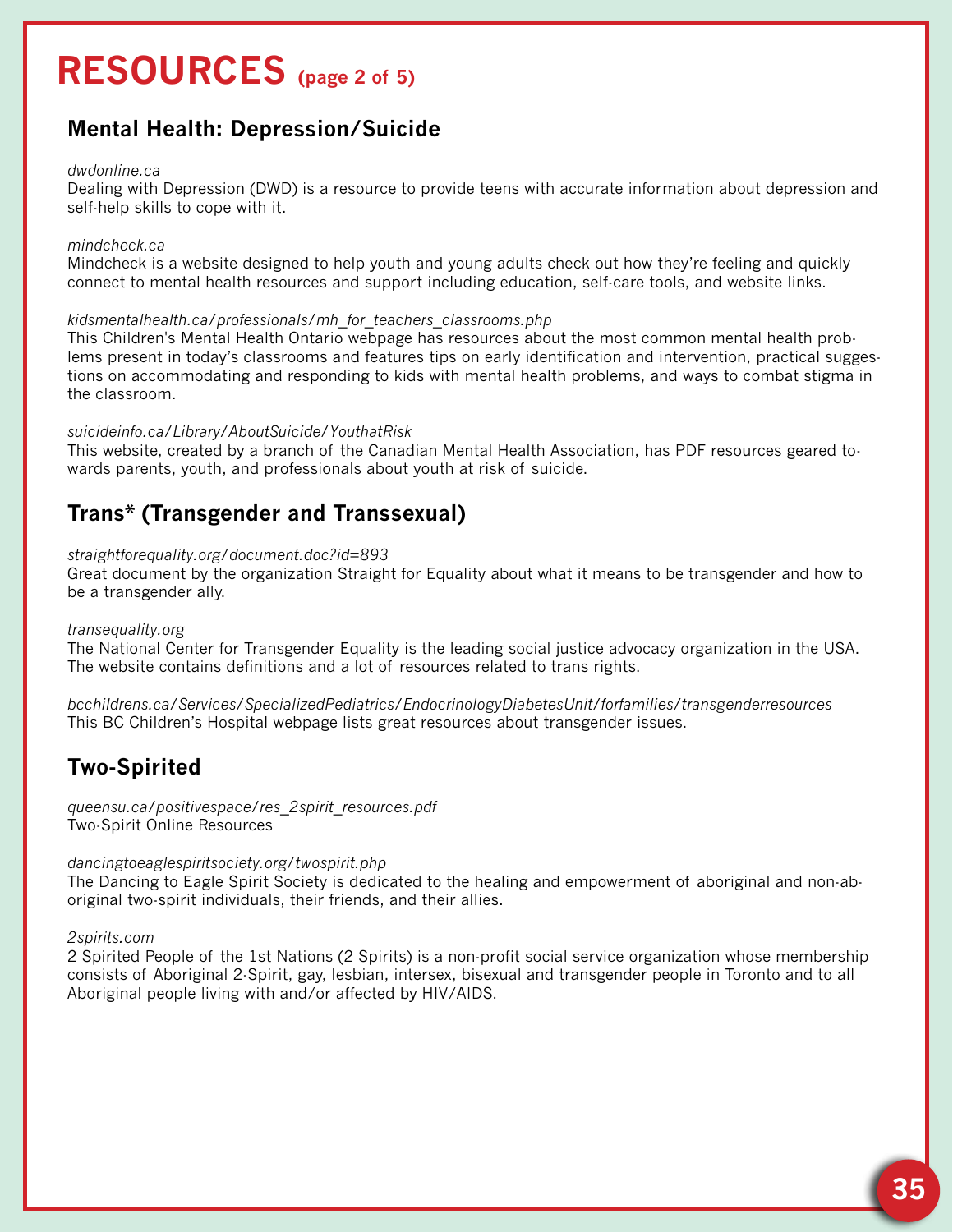## **RESOURCES (page 2 of 5)**

### **Mental Health: Depression/Suicide**

#### *dwdonline.ca*

Dealing with Depression (DWD) is a resource to provide teens with accurate information about depression and self-help skills to cope with it.

#### *mindcheck.ca*

Mindcheck is a website designed to help youth and young adults check out how they're feeling and quickly connect to mental health resources and support including education, self-care tools, and website links.

#### *kidsmentalhealth.ca/professionals/mh\_for\_teachers\_classrooms.php*

This Children's Mental Health Ontario webpage has resources about the most common mental health problems present in today's classrooms and features tips on early identification and intervention, practical suggestions on accommodating and responding to kids with mental health problems, and ways to combat stigma in the classroom.

#### *suicideinfo.ca/Library/AboutSuicide/YouthatRisk*

This website, created by a branch of the Canadian Mental Health Association, has PDF resources geared towards parents, youth, and professionals about youth at risk of suicide.

### **Trans\* (Transgender and Transsexual)**

#### *straightforequality.org/document.doc?id=893*

Great document by the organization Straight for Equality about what it means to be transgender and how to be a transgender ally.

#### *transequality.org*

The National Center for Transgender Equality is the leading social justice advocacy organization in the USA. The website contains definitions and a lot of resources related to trans rights.

*bcchildrens.ca/Services/SpecializedPediatrics/EndocrinologyDiabetesUnit/forfamilies/transgenderresources* This BC Children's Hospital webpage lists great resources about transgender issues.

### **Two-Spirited**

*queensu.ca/positivespace/res\_2spirit\_resources.pdf* Two-Spirit Online Resources

#### *dancingtoeaglespiritsociety.org/twospirit.php*

The Dancing to Eagle Spirit Society is dedicated to the healing and empowerment of aboriginal and non-aboriginal two-spirit individuals, their friends, and their allies.

#### *2spirits.com*

2 Spirited People of the 1st Nations (2 Spirits) is a non-profit social service organization whose membership consists of Aboriginal 2-Spirit, gay, lesbian, intersex, bisexual and transgender people in Toronto and to all Aboriginal people living with and/or affected by HIV/AIDS.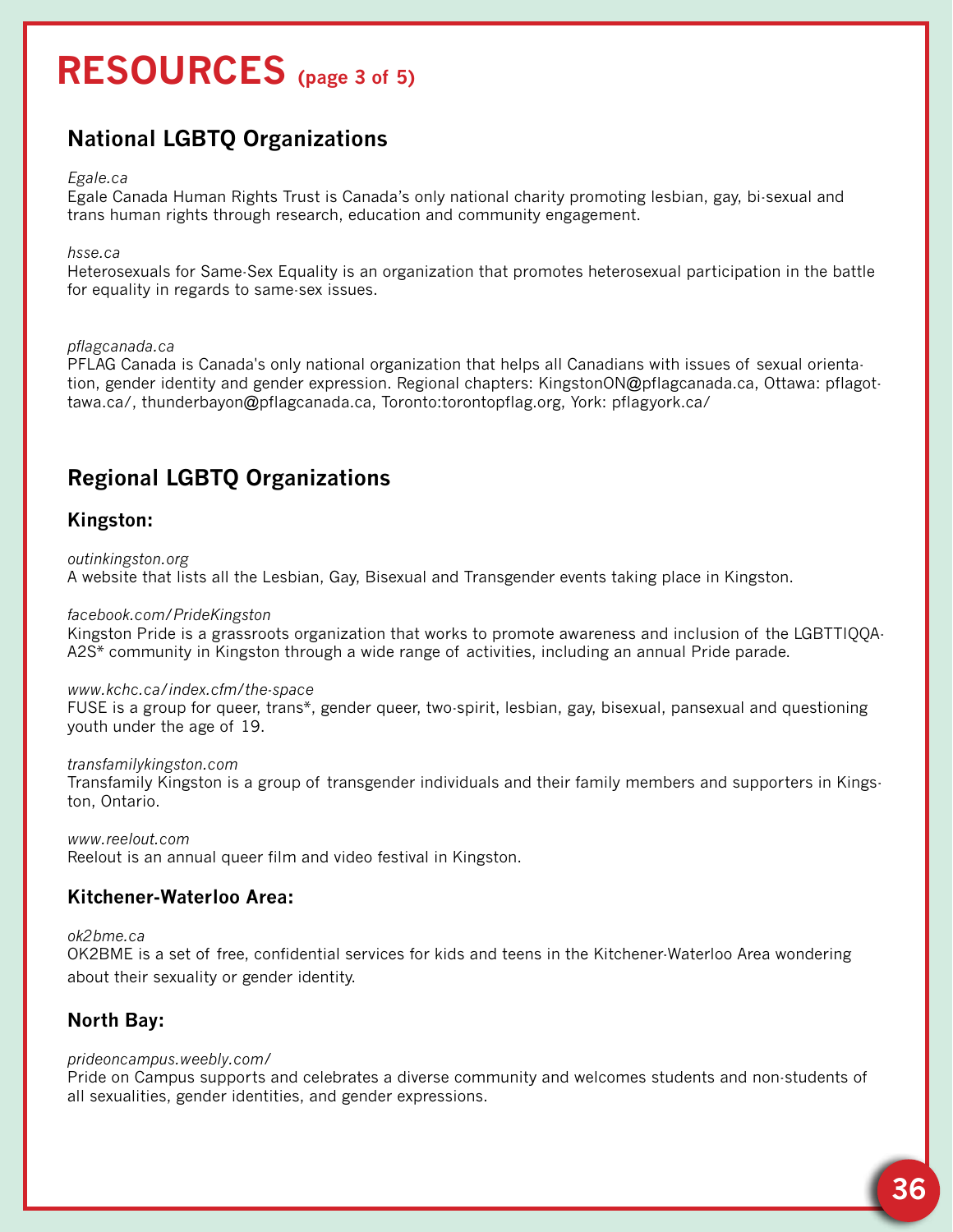## **RESOURCES (page 3 of 5)**

### **National LGBTQ Organizations**

*Egale.ca*

Egale Canada Human Rights Trust is Canada's only national charity promoting lesbian, gay, bi-sexual and trans human rights through research, education and community engagement.

*hsse.ca*

Heterosexuals for Same-Sex Equality is an organization that promotes heterosexual participation in the battle for equality in regards to same-sex issues.

*pflagcanada.ca*

PFLAG Canada is Canada's only national organization that helps all Canadians with issues of sexual orientation, gender identity and gender expression. Regional chapters: KingstonON@pflagcanada.ca, Ottawa: pflagottawa.ca/, thunderbayon@pflagcanada.ca, Toronto:torontopflag.org, York: pflagyork.ca/

### **Regional LGBTQ Organizations**

#### **Kingston:**

*outinkingston.org* A website that lists all the Lesbian, Gay, Bisexual and Transgender events taking place in Kingston.

#### *facebook.com/PrideKingston*

Kingston Pride is a grassroots organization that works to promote awareness and inclusion of the LGBTTIQQA-A2S\* community in Kingston through a wide range of activities, including an annual Pride parade.

#### *www.kchc.ca/index.cfm/the-space*

FUSE is a group for queer, trans\*, gender queer, two-spirit, lesbian, gay, bisexual, pansexual and questioning youth under the age of 19.

#### *transfamilykingston.com*

Transfamily Kingston is a group of transgender individuals and their family members and supporters in Kingston, Ontario.

*www.reelout.com* Reelout is an annual queer film and video festival in Kingston.

#### **Kitchener-Waterloo Area:**

#### *ok2bme.ca*

OK2BME is a set of free, confidential services for kids and teens in the Kitchener-Waterloo Area wondering about their sexuality or gender identity.

#### **North Bay:**

#### *prideoncampus.weebly.com/*

Pride on Campus supports and celebrates a diverse community and welcomes students and non-students of all sexualities, gender identities, and gender expressions.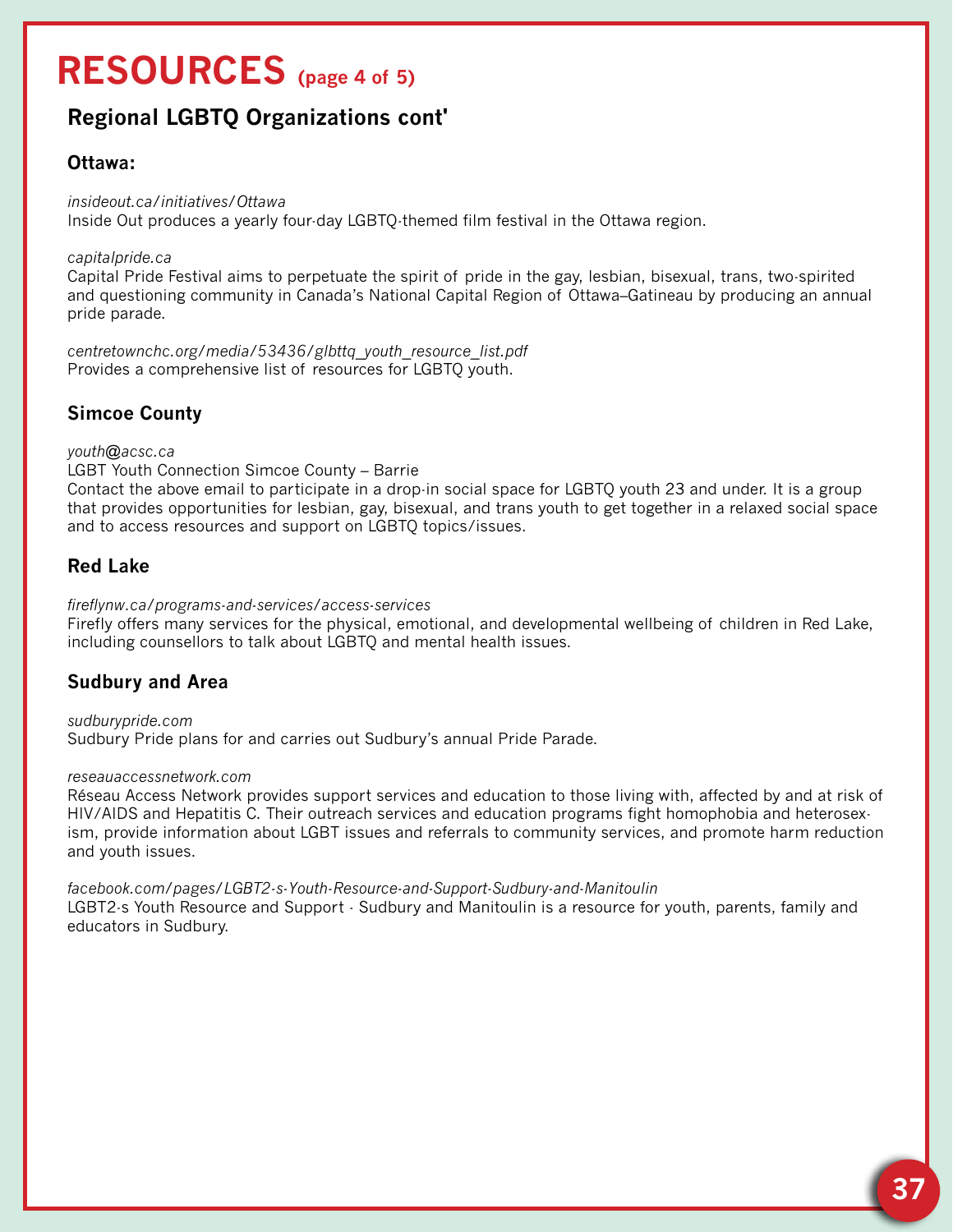## **RESOURCES (page 4 of 5)**

### **Regional LGBTQ Organizations cont'**

#### **Ottawa:**

#### *insideout.ca/initiatives/Ottawa*

Inside Out produces a yearly four-day LGBTQ-themed film festival in the Ottawa region.

#### *capitalpride.ca*

Capital Pride Festival aims to perpetuate the spirit of pride in the gay, lesbian, bisexual, trans, two-spirited and questioning community in Canada's National Capital Region of Ottawa–Gatineau by producing an annual pride parade.

*centretownchc.org/media/53436/glbttq\_youth\_resource\_list.pdf* Provides a comprehensive list of resources for LGBTQ youth.

#### **Simcoe County**

*youth@acsc.ca* 

LGBT Youth Connection Simcoe County – Barrie

Contact the above email to participate in a drop-in social space for LGBTQ youth 23 and under. It is a group that provides opportunities for lesbian, gay, bisexual, and trans youth to get together in a relaxed social space and to access resources and support on LGBTQ topics/issues.

#### **Red Lake**

#### *fireflynw.ca/programs-and-services/access-services*

Firefly offers many services for the physical, emotional, and developmental wellbeing of children in Red Lake, including counsellors to talk about LGBTQ and mental health issues.

#### **Sudbury and Area**

*sudburypride.com* Sudbury Pride plans for and carries out Sudbury's annual Pride Parade.

#### *reseauaccessnetwork.com*

Réseau Access Network provides support services and education to those living with, affected by and at risk of HIV/AIDS and Hepatitis C. Their outreach services and education programs fight homophobia and heterosexism, provide information about LGBT issues and referrals to community services, and promote harm reduction and youth issues.

#### *facebook.com/pages/LGBT2-s-Youth-Resource-and-Support-Sudbury-and-Manitoulin*

LGBT2-s Youth Resource and Support - Sudbury and Manitoulin is a resource for youth, parents, family and educators in Sudbury.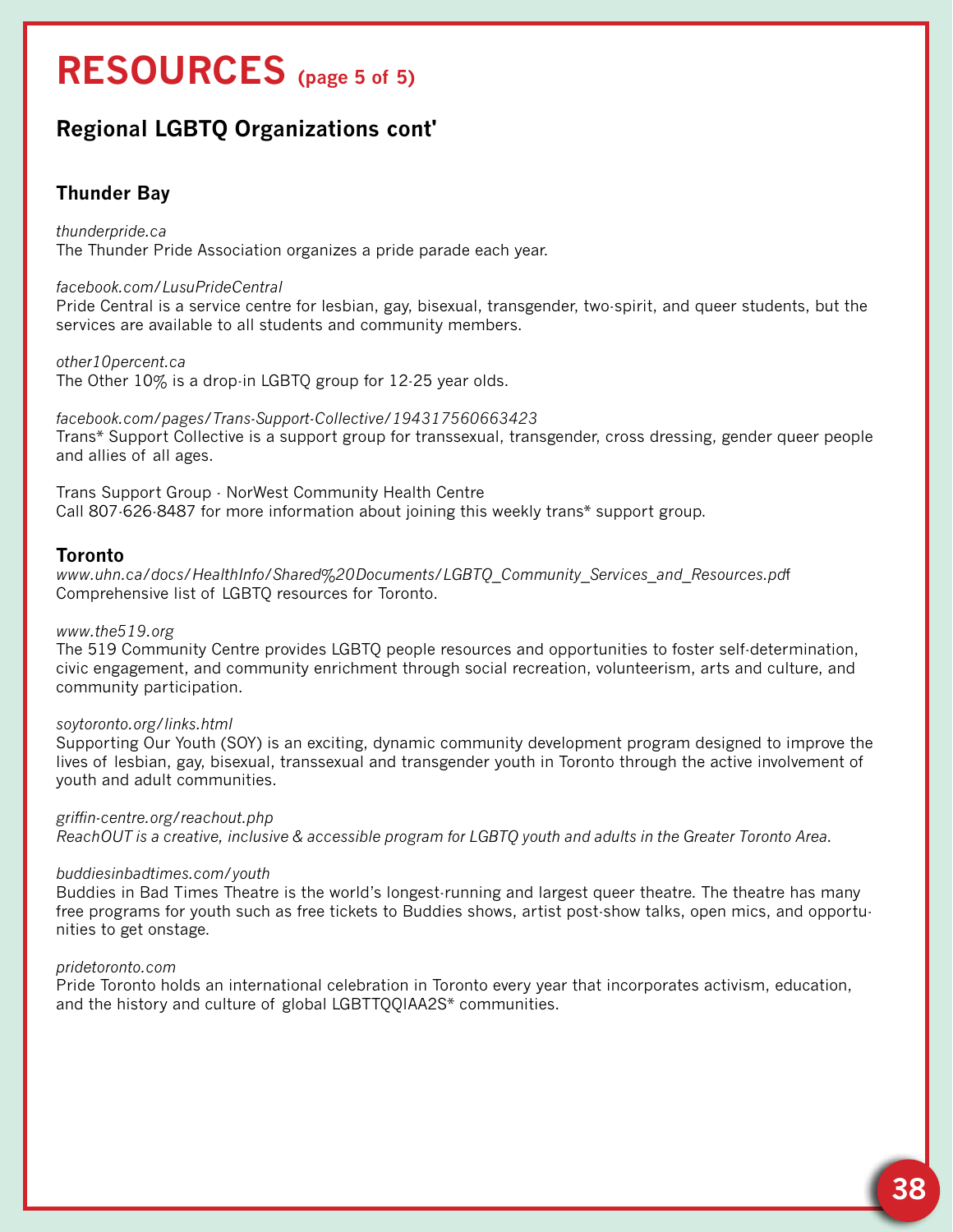## **RESOURCES (page 5 of 5)**

### **Regional LGBTQ Organizations cont'**

#### **Thunder Bay**

*thunderpride.ca* The Thunder Pride Association organizes a pride parade each year.

#### *facebook.com/LusuPrideCentral*

Pride Central is a service centre for lesbian, gay, bisexual, transgender, two-spirit, and queer students, but the services are available to all students and community members.

#### *other10percent.ca*

The Other 10% is a drop-in LGBTQ group for 12-25 year olds.

*facebook.com/pages/Trans-Support-Collective/194317560663423* Trans\* Support Collective is a support group for transsexual, transgender, cross dressing, gender queer people and allies of all ages.

Trans Support Group - NorWest Community Health Centre Call 807-626-8487 for more information about joining this weekly trans\* support group.

#### **Toronto**

*www.uhn.ca/docs/HealthInfo/Shared%20Documents/LGBTQ\_Community\_Services\_and\_Resources.pd*f Comprehensive list of LGBTQ resources for Toronto.

#### *www.the519.org*

The 519 Community Centre provides LGBTQ people resources and opportunities to foster self-determination, civic engagement, and community enrichment through social recreation, volunteerism, arts and culture, and community participation.

#### *soytoronto.org/links.html*

Supporting Our Youth (SOY) is an exciting, dynamic community development program designed to improve the lives of lesbian, gay, bisexual, transsexual and transgender youth in Toronto through the active involvement of youth and adult communities.

*griffin-centre.org/reachout.php ReachOUT is a creative, inclusive & accessible program for LGBTQ youth and adults in the Greater Toronto Area.*

#### *buddiesinbadtimes.com/youth*

Buddies in Bad Times Theatre is the world's longest-running and largest queer theatre. The theatre has many free programs for youth such as free tickets to Buddies shows, artist post-show talks, open mics, and opportunities to get onstage.

#### *pridetoronto.com*

Pride Toronto holds an international celebration in Toronto every year that incorporates activism, education, and the history and culture of global LGBTTQQIAA2S\* communities.